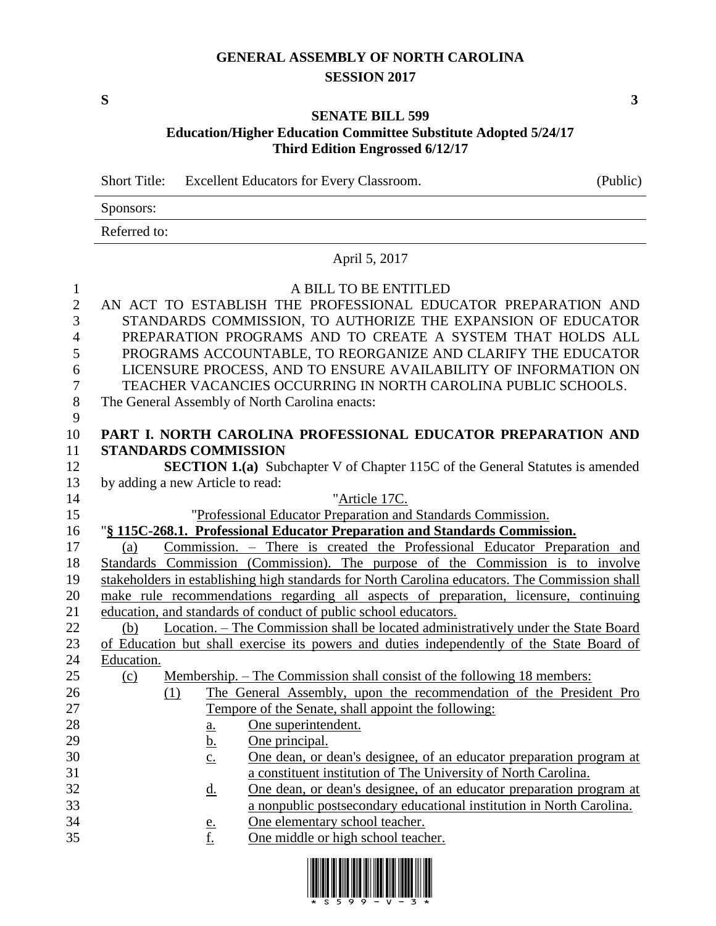# **GENERAL ASSEMBLY OF NORTH CAROLINA SESSION 2017**

**S 3**

### **SENATE BILL 599 Education/Higher Education Committee Substitute Adopted 5/24/17 Third Edition Engrossed 6/12/17**

Short Title: Excellent Educators for Every Classroom. (Public)

| Sponsors:    |  |  |
|--------------|--|--|
| Referred to: |  |  |

# April 5, 2017

## 1 A BILL TO BE ENTITLED

| л.               | A DILL TO DL LITTILLD                                                                          |
|------------------|------------------------------------------------------------------------------------------------|
| $\mathbf{2}$     | AN ACT TO ESTABLISH THE PROFESSIONAL EDUCATOR PREPARATION AND                                  |
| 3                | STANDARDS COMMISSION, TO AUTHORIZE THE EXPANSION OF EDUCATOR                                   |
| $\overline{4}$   | PREPARATION PROGRAMS AND TO CREATE A SYSTEM THAT HOLDS ALL                                     |
| 5                | PROGRAMS ACCOUNTABLE, TO REORGANIZE AND CLARIFY THE EDUCATOR                                   |
| 6                | LICENSURE PROCESS, AND TO ENSURE AVAILABILITY OF INFORMATION ON                                |
| $\boldsymbol{7}$ | TEACHER VACANCIES OCCURRING IN NORTH CAROLINA PUBLIC SCHOOLS.                                  |
| $8\,$            | The General Assembly of North Carolina enacts:                                                 |
| 9                |                                                                                                |
| 10               | PART I. NORTH CAROLINA PROFESSIONAL EDUCATOR PREPARATION AND                                   |
| 11               | <b>STANDARDS COMMISSION</b>                                                                    |
| 12               | <b>SECTION 1.(a)</b> Subchapter V of Chapter 115C of the General Statutes is amended           |
| 13               | by adding a new Article to read:                                                               |
| 14               | "Article 17C.                                                                                  |
| 15               | "Professional Educator Preparation and Standards Commission.                                   |
| 16               | "§ 115C-268.1. Professional Educator Preparation and Standards Commission.                     |
| 17               | Commission. - There is created the Professional Educator Preparation and<br>(a)                |
| 18               | Standards Commission (Commission). The purpose of the Commission is to involve                 |
| 19               | stakeholders in establishing high standards for North Carolina educators. The Commission shall |
| 20               | make rule recommendations regarding all aspects of preparation, licensure, continuing          |
| 21               | education, and standards of conduct of public school educators.                                |
| 22               | Location. - The Commission shall be located administratively under the State Board<br>(b)      |
| 23               | of Education but shall exercise its powers and duties independently of the State Board of      |
| 24               | Education.                                                                                     |
| 25               | Membership. – The Commission shall consist of the following 18 members:<br>(c)                 |
| 26               | The General Assembly, upon the recommendation of the President Pro<br>(1)                      |
| 27               | Tempore of the Senate, shall appoint the following:                                            |
| 28               | One superintendent.<br>a.                                                                      |
| 29               | One principal.<br><u>b.</u>                                                                    |
| 30               | One dean, or dean's designee, of an educator preparation program at<br>$\underline{c}$ .       |
| 31               | a constituent institution of The University of North Carolina.                                 |
| 32               | One dean, or dean's designee, of an educator preparation program at<br><u>d.</u>               |
| 33<br>34         | a nonpublic postsecondary educational institution in North Carolina.                           |
| 35               | One elementary school teacher.<br><u>e.</u>                                                    |
|                  | f.<br>One middle or high school teacher.                                                       |

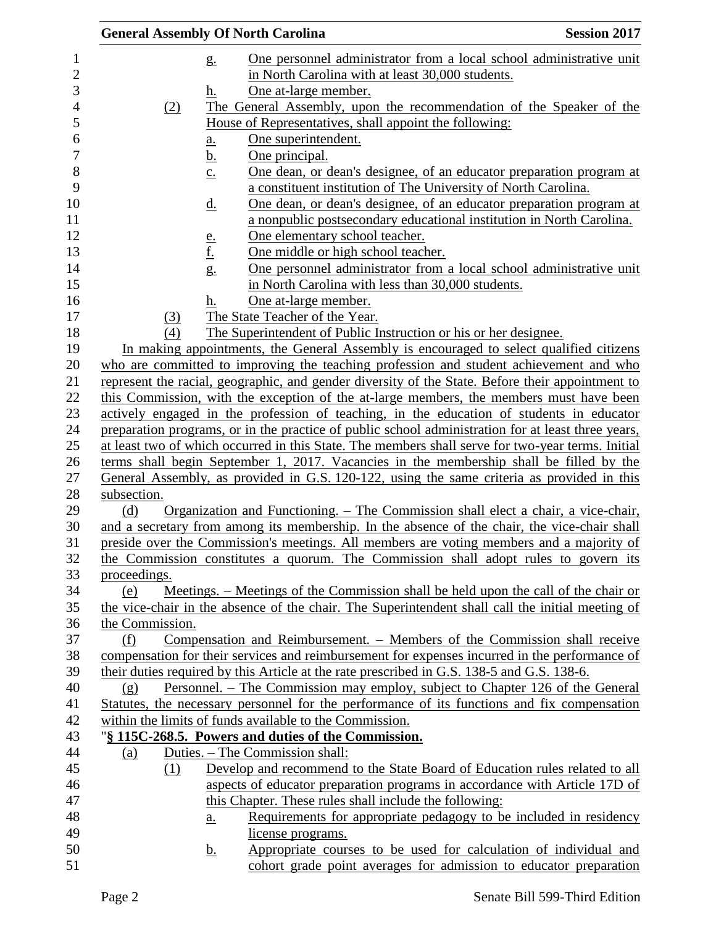|                 | <b>General Assembly Of North Carolina</b>                                                          | <b>Session 2017</b>                                                        |
|-----------------|----------------------------------------------------------------------------------------------------|----------------------------------------------------------------------------|
|                 | g <sub>1</sub>                                                                                     | One personnel administrator from a local school administrative unit        |
|                 | in North Carolina with at least 30,000 students.                                                   |                                                                            |
|                 | One at-large member.<br>h.                                                                         |                                                                            |
| (2)             | The General Assembly, upon the recommendation of the Speaker of the                                |                                                                            |
|                 | House of Representatives, shall appoint the following:                                             |                                                                            |
|                 | One superintendent.<br>a.                                                                          |                                                                            |
|                 | One principal.<br><u>b.</u>                                                                        |                                                                            |
|                 | $\underline{c}$ .<br>a constituent institution of The University of North Carolina.                | <u>One dean, or dean's designee, of an educator preparation program at</u> |
|                 | <u>d.</u>                                                                                          | One dean, or dean's designee, of an educator preparation program at        |
|                 |                                                                                                    | a nonpublic postsecondary educational institution in North Carolina.       |
|                 | One elementary school teacher.                                                                     |                                                                            |
|                 | <u>e.</u><br><u>f.</u><br>One middle or high school teacher.                                       |                                                                            |
|                 | $g_{\cdot}$                                                                                        | One personnel administrator from a local school administrative unit        |
|                 | in North Carolina with less than 30,000 students.                                                  |                                                                            |
|                 | One at-large member.<br>h.                                                                         |                                                                            |
| (3)             | The State Teacher of the Year.                                                                     |                                                                            |
| (4)             | The Superintendent of Public Instruction or his or her designee.                                   |                                                                            |
|                 | In making appointments, the General Assembly is encouraged to select qualified citizens            |                                                                            |
|                 | who are committed to improving the teaching profession and student achievement and who             |                                                                            |
|                 | represent the racial, geographic, and gender diversity of the State. Before their appointment to   |                                                                            |
|                 | this Commission, with the exception of the at-large members, the members must have been            |                                                                            |
|                 | actively engaged in the profession of teaching, in the education of students in educator           |                                                                            |
|                 | preparation programs, or in the practice of public school administration for at least three years, |                                                                            |
|                 | at least two of which occurred in this State. The members shall serve for two-year terms. Initial  |                                                                            |
|                 | terms shall begin September 1, 2017. Vacancies in the membership shall be filled by the            |                                                                            |
|                 | General Assembly, as provided in G.S. 120-122, using the same criteria as provided in this         |                                                                            |
| subsection.     |                                                                                                    |                                                                            |
| (d)             | <u>Organization and Functioning. – The Commission shall elect a chair, a vice-chair,</u>           |                                                                            |
|                 | and a secretary from among its membership. In the absence of the chair, the vice-chair shall       |                                                                            |
|                 | preside over the Commission's meetings. All members are voting members and a majority of           |                                                                            |
|                 | the Commission constitutes a quorum. The Commission shall adopt rules to govern its                |                                                                            |
| proceedings.    |                                                                                                    |                                                                            |
| (e)             | Meetings. – Meetings of the Commission shall be held upon the call of the chair or                 |                                                                            |
|                 | the vice-chair in the absence of the chair. The Superintendent shall call the initial meeting of   |                                                                            |
| the Commission. |                                                                                                    |                                                                            |
| (f)             | Compensation and Reimbursement. – Members of the Commission shall receive                          |                                                                            |
|                 | compensation for their services and reimbursement for expenses incurred in the performance of      |                                                                            |
|                 | their duties required by this Article at the rate prescribed in G.S. 138-5 and G.S. 138-6.         |                                                                            |
| (g)             | Personnel. – The Commission may employ, subject to Chapter 126 of the General                      |                                                                            |
|                 | Statutes, the necessary personnel for the performance of its functions and fix compensation        |                                                                            |
|                 | within the limits of funds available to the Commission.                                            |                                                                            |
|                 | "§ 115C-268.5. Powers and duties of the Commission.                                                |                                                                            |
| (a)             | Duties. – The Commission shall:                                                                    |                                                                            |
| (1)             | Develop and recommend to the State Board of Education rules related to all                         |                                                                            |
|                 | aspects of educator preparation programs in accordance with Article 17D of                         |                                                                            |
|                 | this Chapter. These rules shall include the following:                                             |                                                                            |
|                 | a.                                                                                                 | Requirements for appropriate pedagogy to be included in residency          |
|                 | license programs.                                                                                  |                                                                            |
|                 | <u>b.</u>                                                                                          | Appropriate courses to be used for calculation of individual and           |
|                 |                                                                                                    | cohort grade point averages for admission to educator preparation          |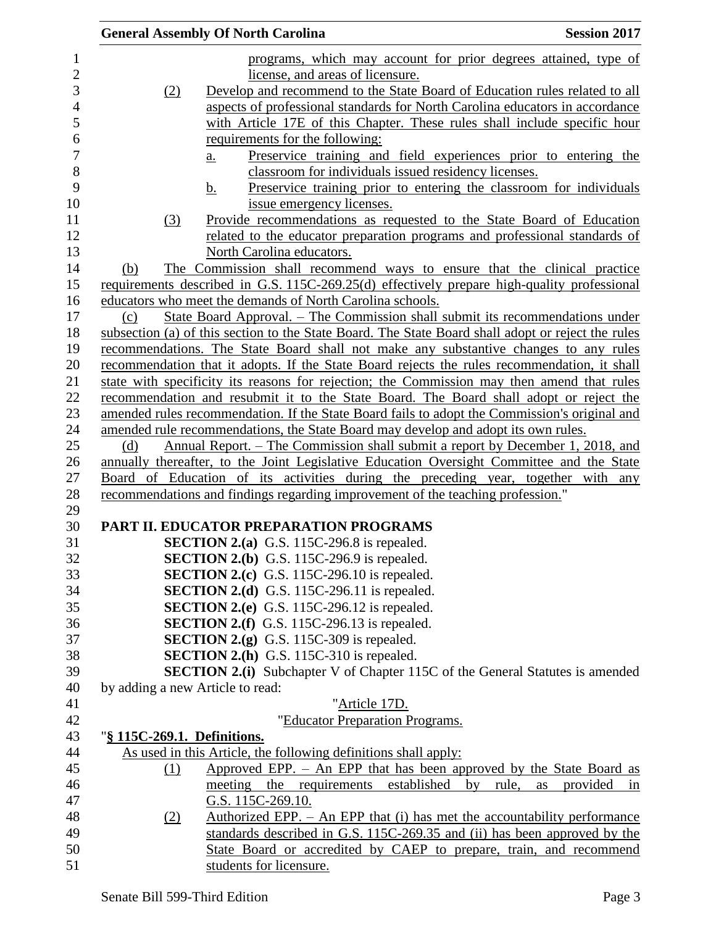|                  | <b>Session 2017</b><br><b>General Assembly Of North Carolina</b>                                                                         |    |
|------------------|------------------------------------------------------------------------------------------------------------------------------------------|----|
| $\mathbf{1}$     | programs, which may account for prior degrees attained, type of                                                                          |    |
| $\overline{c}$   | license, and areas of licensure.                                                                                                         |    |
| 3                | Develop and recommend to the State Board of Education rules related to all<br>(2)                                                        |    |
| $\overline{4}$   | aspects of professional standards for North Carolina educators in accordance                                                             |    |
| 5                | with Article 17E of this Chapter. These rules shall include specific hour                                                                |    |
| 6                | requirements for the following:                                                                                                          |    |
| $\boldsymbol{7}$ | Preservice training and field experiences prior to entering the<br>$\underline{a}$ .                                                     |    |
| 8                | classroom for individuals issued residency licenses.                                                                                     |    |
| 9                | Preservice training prior to entering the classroom for individuals<br>b.                                                                |    |
| 10               | issue emergency licenses.                                                                                                                |    |
| 11               | Provide recommendations as requested to the State Board of Education<br>(3)                                                              |    |
| 12               | related to the educator preparation programs and professional standards of                                                               |    |
| 13               | North Carolina educators.                                                                                                                |    |
| 14               | The Commission shall recommend ways to ensure that the clinical practice<br>(b)                                                          |    |
| 15               | requirements described in G.S. 115C-269.25(d) effectively prepare high-quality professional                                              |    |
| 16               | educators who meet the demands of North Carolina schools.                                                                                |    |
| 17               | <u> State Board Approval. – The Commission shall submit its recommendations under</u><br>(c)                                             |    |
| 18               | subsection (a) of this section to the State Board. The State Board shall adopt or reject the rules                                       |    |
| 19               | recommendations. The State Board shall not make any substantive changes to any rules                                                     |    |
| 20               | recommendation that it adopts. If the State Board rejects the rules recommendation, it shall                                             |    |
| 21               | state with specificity its reasons for rejection; the Commission may then amend that rules                                               |    |
| 22               | recommendation and resubmit it to the State Board. The Board shall adopt or reject the                                                   |    |
| 23               | amended rules recommendation. If the State Board fails to adopt the Commission's original and                                            |    |
| 24               | amended rule recommendations, the State Board may develop and adopt its own rules.                                                       |    |
| 25               | Annual Report. – The Commission shall submit a report by December 1, 2018, and<br>(d)                                                    |    |
| 26               | annually thereafter, to the Joint Legislative Education Oversight Committee and the State                                                |    |
| 27               | Board of Education of its activities during the preceding year, together with any                                                        |    |
| 28               | recommendations and findings regarding improvement of the teaching profession."                                                          |    |
| 29               |                                                                                                                                          |    |
| 30               | PART II. EDUCATOR PREPARATION PROGRAMS                                                                                                   |    |
| 31               | <b>SECTION 2.(a)</b> G.S. 115C-296.8 is repealed.                                                                                        |    |
| 32               | SECTION 2.(b) G.S. 115C-296.9 is repealed.                                                                                               |    |
| 33               | SECTION 2.(c) G.S. 115C-296.10 is repealed.                                                                                              |    |
| 34               | <b>SECTION 2.(d)</b> G.S. 115C-296.11 is repealed.                                                                                       |    |
| 35               | <b>SECTION 2.(e)</b> G.S. 115C-296.12 is repealed.                                                                                       |    |
| 36               | <b>SECTION 2.(f)</b> G.S. 115C-296.13 is repealed.                                                                                       |    |
| 37               | <b>SECTION 2.(g)</b> G.S. 115C-309 is repealed.                                                                                          |    |
| 38               | <b>SECTION 2.(h)</b> G.S. 115C-310 is repealed.                                                                                          |    |
| 39               | <b>SECTION 2.(i)</b> Subchapter V of Chapter 115C of the General Statutes is amended                                                     |    |
| 40               | by adding a new Article to read:                                                                                                         |    |
| 41               | "Article 17D.                                                                                                                            |    |
| 42               | "Educator Preparation Programs.                                                                                                          |    |
| 43               |                                                                                                                                          |    |
|                  | "§ 115C-269.1. Definitions.                                                                                                              |    |
| 44               | As used in this Article, the following definitions shall apply:<br>Approved EPP. $-$ An EPP that has been approved by the State Board as |    |
| 45               | (1)                                                                                                                                      |    |
| 46<br>47         | meeting<br>the requirements established<br>by<br>rule,<br>provided<br>as                                                                 | in |
|                  | G.S. 115C-269.10.                                                                                                                        |    |
| 48               | <u>Authorized EPP. – An EPP that (i) has met the accountability performance</u><br>(2)                                                   |    |
| 49               | standards described in G.S. 115C-269.35 and (ii) has been approved by the                                                                |    |
| 50               | State Board or accredited by CAEP to prepare, train, and recommend                                                                       |    |
| 51               | students for licensure.                                                                                                                  |    |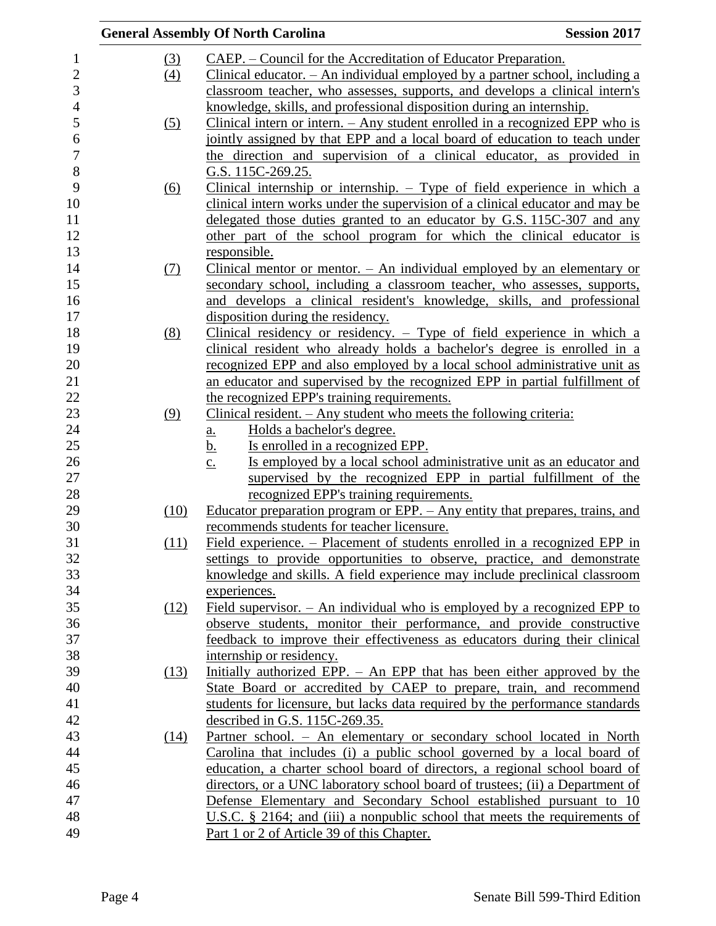|                  |                  | <b>General Assembly Of North Carolina</b>                                                  | <b>Session 2017</b> |
|------------------|------------------|--------------------------------------------------------------------------------------------|---------------------|
| 1                | (3)              | CAEP. – Council for the Accreditation of Educator Preparation.                             |                     |
| $\overline{c}$   | $\left(4\right)$ | Clinical educator. $-$ An individual employed by a partner school, including a             |                     |
| 3                |                  | classroom teacher, who assesses, supports, and develops a clinical intern's                |                     |
| $\overline{4}$   |                  | knowledge, skills, and professional disposition during an internship.                      |                     |
| 5                | (5)              | Clinical intern or intern. $-$ Any student enrolled in a recognized EPP who is             |                     |
| 6                |                  | jointly assigned by that EPP and a local board of education to teach under                 |                     |
| $\boldsymbol{7}$ |                  | the direction and supervision of a clinical educator, as provided in                       |                     |
| 8                |                  | G.S. 115C-269.25.                                                                          |                     |
| 9                | <u>(6)</u>       | Clinical internship or internship. $-$ Type of field experience in which a                 |                     |
| 10               |                  | clinical intern works under the supervision of a clinical educator and may be              |                     |
| 11               |                  | delegated those duties granted to an educator by G.S. 115C-307 and any                     |                     |
| 12               |                  | other part of the school program for which the clinical educator is                        |                     |
| 13               |                  | responsible.                                                                               |                     |
| 14               | <u>(7)</u>       | Clinical mentor or mentor. $-$ An individual employed by an elementary or                  |                     |
| 15               |                  | secondary school, including a classroom teacher, who assesses, supports,                   |                     |
| 16               |                  | and develops a clinical resident's knowledge, skills, and professional                     |                     |
| 17               |                  | disposition during the residency.                                                          |                     |
| 18               | (8)              | <u>Clinical residency or residency. <math>-</math> Type of field experience in which a</u> |                     |
| 19               |                  | clinical resident who already holds a bachelor's degree is enrolled in a                   |                     |
| 20               |                  | recognized EPP and also employed by a local school administrative unit as                  |                     |
| 21               |                  | an educator and supervised by the recognized EPP in partial fulfillment of                 |                     |
| 22               |                  | the recognized EPP's training requirements.                                                |                     |
| 23               | (9)              | Clinical resident. $-$ Any student who meets the following criteria:                       |                     |
| 24               |                  | Holds a bachelor's degree.<br><u>a.</u>                                                    |                     |
| 25               |                  | Is enrolled in a recognized EPP.<br><u>b.</u>                                              |                     |
| 26               |                  | Is employed by a local school administrative unit as an educator and<br>$\underline{c}$ .  |                     |
| 27               |                  | supervised by the recognized EPP in partial fulfillment of the                             |                     |
| 28               |                  | recognized EPP's training requirements.                                                    |                     |
| 29               | (10)             | <u>Educator preparation program or EPP. – Any entity that prepares, trains, and</u>        |                     |
| 30               |                  | recommends students for teacher licensure.                                                 |                     |
| 31               | (11)             | Field experience. – Placement of students enrolled in a recognized EPP in                  |                     |
| 32               |                  | settings to provide opportunities to observe, practice, and demonstrate                    |                     |
| 33               |                  | knowledge and skills. A field experience may include preclinical classroom                 |                     |
| 34               |                  | experiences.                                                                               |                     |
| 35               | (12)             | Field supervisor. $-$ An individual who is employed by a recognized EPP to                 |                     |
| 36               |                  | observe students, monitor their performance, and provide constructive                      |                     |
| 37               |                  | feedback to improve their effectiveness as educators during their clinical                 |                     |
| 38               |                  | internship or residency.                                                                   |                     |
| 39               | (13)             | Initially authorized EPP. – An EPP that has been either approved by the                    |                     |
| 40               |                  | State Board or accredited by CAEP to prepare, train, and recommend                         |                     |
| 41               |                  | students for licensure, but lacks data required by the performance standards               |                     |
| 42               |                  | described in G.S. 115C-269.35.                                                             |                     |
| 43               | (14)             | Partner school. - An elementary or secondary school located in North                       |                     |
| 44               |                  | Carolina that includes (i) a public school governed by a local board of                    |                     |
| 45               |                  | education, a charter school board of directors, a regional school board of                 |                     |
| 46               |                  | directors, or a UNC laboratory school board of trustees; (ii) a Department of              |                     |
| 47               |                  | Defense Elementary and Secondary School established pursuant to 10                         |                     |
| 48               |                  | U.S.C. $\S$ 2164; and (iii) a nonpublic school that meets the requirements of              |                     |
| 49               |                  | Part 1 or 2 of Article 39 of this Chapter.                                                 |                     |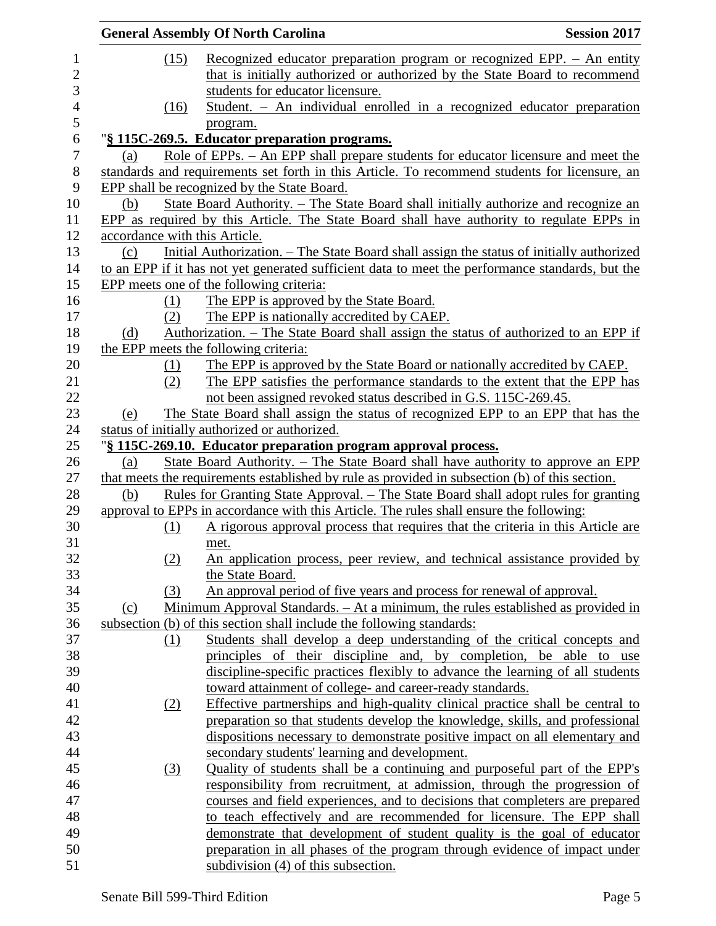|     |      | <b>General Assembly Of North Carolina</b>                                                        | <b>Session 2017</b> |
|-----|------|--------------------------------------------------------------------------------------------------|---------------------|
|     | (15) | <u>Recognized</u> educator preparation program or recognized EPP. - An entity                    |                     |
|     |      | that is initially authorized or authorized by the State Board to recommend                       |                     |
|     |      | students for educator licensure.                                                                 |                     |
|     | (16) | Student. - An individual enrolled in a recognized educator preparation                           |                     |
|     |      | program.                                                                                         |                     |
|     |      | "§ 115C-269.5. Educator preparation programs.                                                    |                     |
| (a) |      | <u>Role of EPPs. – An EPP shall prepare students for educator licensure and meet the</u>         |                     |
|     |      | standards and requirements set forth in this Article. To recommend students for licensure, an    |                     |
|     |      | EPP shall be recognized by the State Board.                                                      |                     |
| (b) |      | State Board Authority. – The State Board shall initially authorize and recognize an              |                     |
|     |      | EPP as required by this Article. The State Board shall have authority to regulate EPPs in        |                     |
|     |      | accordance with this Article.                                                                    |                     |
| (c) |      | Initial Authorization. – The State Board shall assign the status of initially authorized         |                     |
|     |      | to an EPP if it has not yet generated sufficient data to meet the performance standards, but the |                     |
|     |      | EPP meets one of the following criteria:                                                         |                     |
|     | (1)  | The EPP is approved by the State Board.                                                          |                     |
|     | (2)  | The EPP is nationally accredited by CAEP.                                                        |                     |
| (d) |      | Authorization. – The State Board shall assign the status of authorized to an EPP if              |                     |
|     |      | the EPP meets the following criteria:                                                            |                     |
|     | (1)  | The EPP is approved by the State Board or nationally accredited by CAEP.                         |                     |
|     | (2)  | The EPP satisfies the performance standards to the extent that the EPP has                       |                     |
|     |      | not been assigned revoked status described in G.S. 115C-269.45.                                  |                     |
| (e) |      | The State Board shall assign the status of recognized EPP to an EPP that has the                 |                     |
|     |      | status of initially authorized or authorized.                                                    |                     |
|     |      | "§ 115C-269.10. Educator preparation program approval process.                                   |                     |
| (a) |      | <u>State Board Authority. – The State Board shall have authority to approve an EPP</u>           |                     |
|     |      | that meets the requirements established by rule as provided in subsection (b) of this section.   |                     |
| (b) |      | <u>Rules for Granting State Approval. – The State Board shall adopt rules for granting</u>       |                     |
|     |      | approval to EPPs in accordance with this Article. The rules shall ensure the following:          |                     |
|     | (1)  | A rigorous approval process that requires that the criteria in this Article are                  |                     |
|     |      | met.                                                                                             |                     |
|     | (2)  | An application process, peer review, and technical assistance provided by                        |                     |
|     |      | the State Board.                                                                                 |                     |
|     | (3)  | An approval period of five years and process for renewal of approval.                            |                     |
| (c) |      | Minimum Approval Standards. – At a minimum, the rules established as provided in                 |                     |
|     |      | subsection (b) of this section shall include the following standards:                            |                     |
|     | (1)  | Students shall develop a deep understanding of the critical concepts and                         |                     |
|     |      | principles of their discipline and, by completion, be able to use                                |                     |
|     |      | discipline-specific practices flexibly to advance the learning of all students                   |                     |
|     |      | toward attainment of college- and career-ready standards.                                        |                     |
|     | (2)  | Effective partnerships and high-quality clinical practice shall be central to                    |                     |
|     |      | preparation so that students develop the knowledge, skills, and professional                     |                     |
|     |      | dispositions necessary to demonstrate positive impact on all elementary and                      |                     |
|     |      | secondary students' learning and development.                                                    |                     |
|     |      | Quality of students shall be a continuing and purposeful part of the EPP's                       |                     |
|     | (3)  |                                                                                                  |                     |
|     |      | responsibility from recruitment, at admission, through the progression of                        |                     |
|     |      | courses and field experiences, and to decisions that completers are prepared                     |                     |
|     |      | to teach effectively and are recommended for licensure. The EPP shall                            |                     |
|     |      | demonstrate that development of student quality is the goal of educator                          |                     |
|     |      | preparation in all phases of the program through evidence of impact under                        |                     |
|     |      | subdivision (4) of this subsection.                                                              |                     |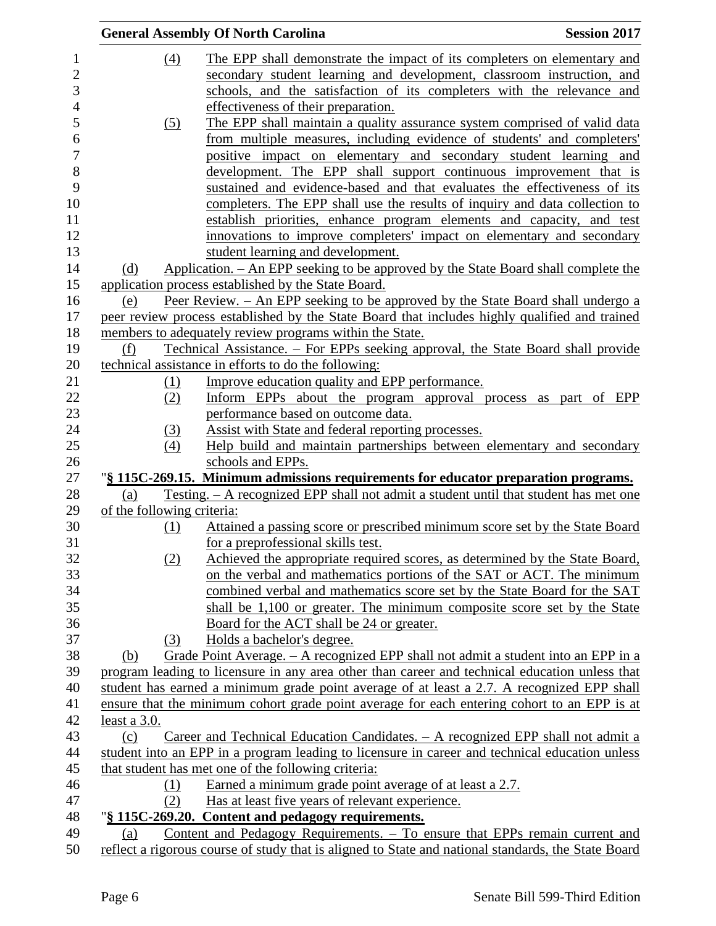|                            | <b>General Assembly Of North Carolina</b>                                                                                                                | <b>Session 2017</b> |
|----------------------------|----------------------------------------------------------------------------------------------------------------------------------------------------------|---------------------|
| (4)                        | The EPP shall demonstrate the impact of its completers on elementary and                                                                                 |                     |
|                            | secondary student learning and development, classroom instruction, and                                                                                   |                     |
|                            | schools, and the satisfaction of its completers with the relevance and                                                                                   |                     |
|                            | effectiveness of their preparation.                                                                                                                      |                     |
| (5)                        | The EPP shall maintain a quality assurance system comprised of valid data                                                                                |                     |
|                            | from multiple measures, including evidence of students' and completers'                                                                                  |                     |
|                            | positive impact on elementary and secondary student learning and                                                                                         |                     |
|                            | development. The EPP shall support continuous improvement that is                                                                                        |                     |
|                            | sustained and evidence-based and that evaluates the effectiveness of its                                                                                 |                     |
|                            | completers. The EPP shall use the results of inquiry and data collection to                                                                              |                     |
|                            | establish priorities, enhance program elements and capacity, and test                                                                                    |                     |
|                            | innovations to improve completers' impact on elementary and secondary                                                                                    |                     |
|                            | student learning and development.                                                                                                                        |                     |
| (d)                        | Application. – An EPP seeking to be approved by the State Board shall complete the                                                                       |                     |
|                            | application process established by the State Board.                                                                                                      |                     |
|                            | Peer Review. - An EPP seeking to be approved by the State Board shall undergo a                                                                          |                     |
| (e)                        |                                                                                                                                                          |                     |
|                            | peer review process established by the State Board that includes highly qualified and trained<br>members to adequately review programs within the State. |                     |
| (f)                        | Technical Assistance. – For EPPs seeking approval, the State Board shall provide                                                                         |                     |
|                            | technical assistance in efforts to do the following:                                                                                                     |                     |
| (1)                        | Improve education quality and EPP performance.                                                                                                           |                     |
| (2)                        | Inform EPPs about the program approval process as part of EPP                                                                                            |                     |
|                            | performance based on outcome data.                                                                                                                       |                     |
|                            | Assist with State and federal reporting processes.                                                                                                       |                     |
| $\left(3\right)$<br>(4)    | Help build and maintain partnerships between elementary and secondary                                                                                    |                     |
|                            | schools and EPPs.                                                                                                                                        |                     |
|                            | "§ 115C-269.15. Minimum admissions requirements for educator preparation programs.                                                                       |                     |
| (a)                        | <u>Testing. – A recognized EPP shall not admit a student until that student has met one</u>                                                              |                     |
| of the following criteria: |                                                                                                                                                          |                     |
| (1)                        | Attained a passing score or prescribed minimum score set by the State Board                                                                              |                     |
|                            | for a preprofessional skills test.                                                                                                                       |                     |
| (2)                        | Achieved the appropriate required scores, as determined by the State Board,                                                                              |                     |
|                            | on the verbal and mathematics portions of the SAT or ACT. The minimum                                                                                    |                     |
|                            | combined verbal and mathematics score set by the State Board for the SAT                                                                                 |                     |
|                            | shall be 1,100 or greater. The minimum composite score set by the State                                                                                  |                     |
|                            | Board for the ACT shall be 24 or greater.                                                                                                                |                     |
| (3)                        | Holds a bachelor's degree.                                                                                                                               |                     |
| (b)                        | Grade Point Average. - A recognized EPP shall not admit a student into an EPP in a                                                                       |                     |
|                            | program leading to licensure in any area other than career and technical education unless that                                                           |                     |
|                            | student has earned a minimum grade point average of at least a 2.7. A recognized EPP shall                                                               |                     |
|                            | ensure that the minimum cohort grade point average for each entering cohort to an EPP is at                                                              |                     |
| least a 3.0.               |                                                                                                                                                          |                     |
| (c)                        | Career and Technical Education Candidates. - A recognized EPP shall not admit a                                                                          |                     |
|                            | student into an EPP in a program leading to licensure in career and technical education unless                                                           |                     |
|                            | that student has met one of the following criteria:                                                                                                      |                     |
| (1)                        | Earned a minimum grade point average of at least a 2.7.                                                                                                  |                     |
| (2)                        | Has at least five years of relevant experience.                                                                                                          |                     |
|                            | "§ 115C-269.20. Content and pedagogy requirements.                                                                                                       |                     |
| (a)                        | Content and Pedagogy Requirements. - To ensure that EPPs remain current and                                                                              |                     |
|                            | reflect a rigorous course of study that is aligned to State and national standards, the State Board                                                      |                     |
|                            |                                                                                                                                                          |                     |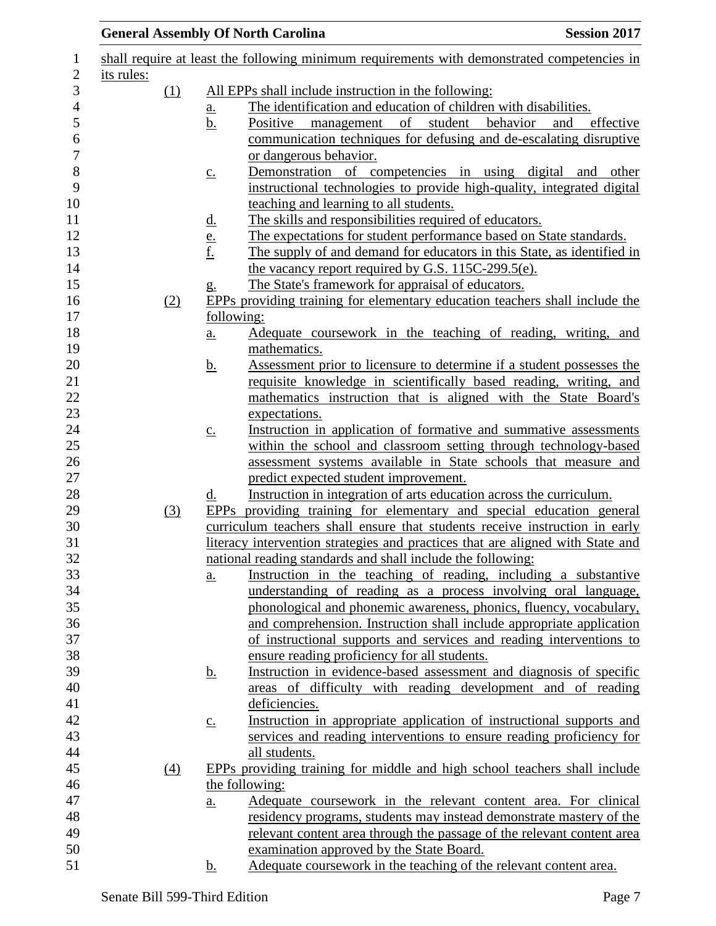|            |     |                            | <b>General Assembly Of North Carolina</b><br><b>Session 2017</b>                                                 |  |  |
|------------|-----|----------------------------|------------------------------------------------------------------------------------------------------------------|--|--|
|            |     |                            | shall require at least the following minimum requirements with demonstrated competencies in                      |  |  |
| its rules: |     |                            |                                                                                                                  |  |  |
|            | (1) |                            | All EPPs shall include instruction in the following:                                                             |  |  |
|            |     | $\underline{\mathbf{a}}$ . | The identification and education of children with disabilities.                                                  |  |  |
|            |     | $\underline{b}$ .          | student<br>behavior<br>Positive<br>of<br>effective<br>and<br>management                                          |  |  |
|            |     |                            | communication techniques for defusing and de-escalating disruptive                                               |  |  |
|            |     |                            | or dangerous behavior.                                                                                           |  |  |
|            |     | $\underline{c}$ .          | Demonstration of competencies in using digital and other                                                         |  |  |
|            |     |                            | instructional technologies to provide high-quality, integrated digital<br>teaching and learning to all students. |  |  |
|            |     | <u>d.</u>                  | The skills and responsibilities required of educators.                                                           |  |  |
|            |     |                            | The expectations for student performance based on State standards.                                               |  |  |
|            |     | $\frac{e}{f}$              | The supply of and demand for educators in this State, as identified in                                           |  |  |
|            |     |                            | the vacancy report required by G.S. 115C-299.5(e).                                                               |  |  |
|            |     | g.                         | The State's framework for appraisal of educators.                                                                |  |  |
|            | (2) |                            | EPPs providing training for elementary education teachers shall include the                                      |  |  |
|            |     |                            | following:                                                                                                       |  |  |
|            |     | $\underline{a}$ .          | Adequate coursework in the teaching of reading, writing, and                                                     |  |  |
|            |     |                            | mathematics.                                                                                                     |  |  |
|            |     | <u>b.</u>                  | Assessment prior to licensure to determine if a student possesses the                                            |  |  |
|            |     |                            | requisite knowledge in scientifically based reading, writing, and                                                |  |  |
|            |     |                            | mathematics instruction that is aligned with the State Board's                                                   |  |  |
|            |     |                            | expectations.                                                                                                    |  |  |
|            |     | $\underline{c}$ .          | Instruction in application of formative and summative assessments                                                |  |  |
|            |     |                            | within the school and classroom setting through technology-based                                                 |  |  |
|            |     |                            | assessment systems available in State schools that measure and                                                   |  |  |
|            |     |                            | predict expected student improvement.                                                                            |  |  |
|            |     | <u>d.</u>                  | Instruction in integration of arts education across the curriculum.                                              |  |  |
|            | (3) |                            | EPPs providing training for elementary and special education general                                             |  |  |
|            |     |                            | curriculum teachers shall ensure that students receive instruction in early                                      |  |  |
|            |     |                            | literacy intervention strategies and practices that are aligned with State and                                   |  |  |
|            |     |                            | national reading standards and shall include the following:                                                      |  |  |
|            |     | $\underline{a}$ .          | Instruction in the teaching of reading, including a substantive                                                  |  |  |
|            |     |                            | understanding of reading as a process involving oral language,                                                   |  |  |
|            |     |                            | phonological and phonemic awareness, phonics, fluency, vocabulary,                                               |  |  |
|            |     |                            | and comprehension. Instruction shall include appropriate application                                             |  |  |
|            |     |                            | of instructional supports and services and reading interventions to                                              |  |  |
|            |     |                            | ensure reading proficiency for all students.                                                                     |  |  |
|            |     | <u>b.</u>                  | Instruction in evidence-based assessment and diagnosis of specific                                               |  |  |
|            |     |                            | areas of difficulty with reading development and of reading                                                      |  |  |
|            |     |                            | deficiencies.                                                                                                    |  |  |
|            |     | $\underline{c}$ .          | Instruction in appropriate application of instructional supports and                                             |  |  |
|            |     |                            | services and reading interventions to ensure reading proficiency for                                             |  |  |
|            |     |                            | all students.                                                                                                    |  |  |
|            | (4) |                            | EPPs providing training for middle and high school teachers shall include                                        |  |  |
|            |     |                            | the following:                                                                                                   |  |  |
|            |     | $\underline{a}$ .          | Adequate coursework in the relevant content area. For clinical                                                   |  |  |
|            |     |                            | residency programs, students may instead demonstrate mastery of the                                              |  |  |
|            |     |                            | relevant content area through the passage of the relevant content area                                           |  |  |
|            |     |                            | examination approved by the State Board.                                                                         |  |  |
|            |     | $\mathbf b$ .              | Adequate coursework in the teaching of the relevant content area.                                                |  |  |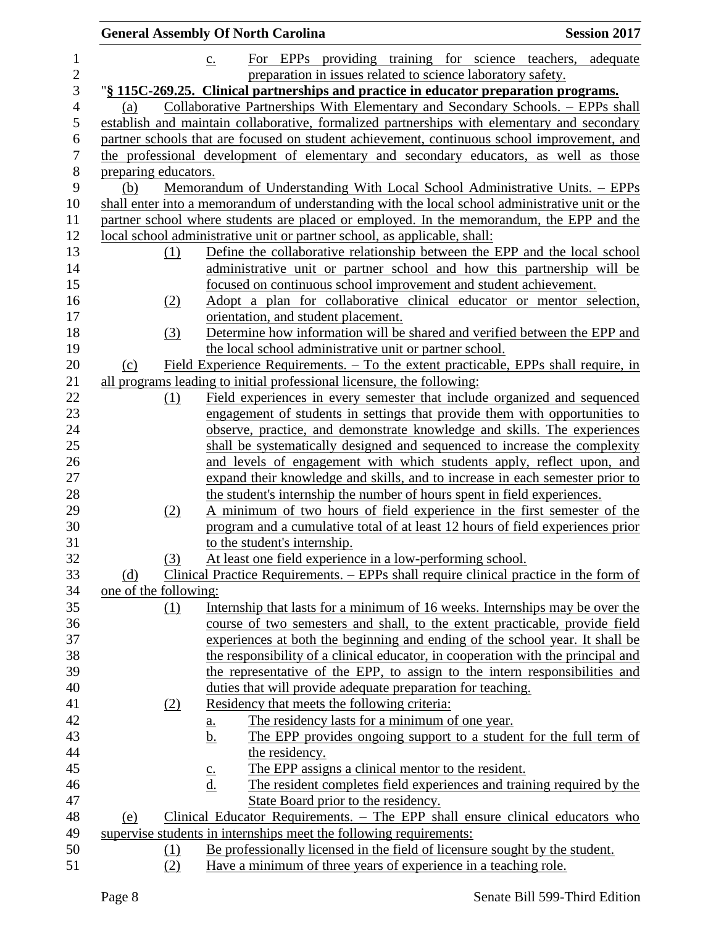|                       | <b>General Assembly Of North Carolina</b>                                                       | <b>Session 2017</b> |
|-----------------------|-------------------------------------------------------------------------------------------------|---------------------|
|                       | For EPPs providing training for science teachers, adequate<br>$\underline{c}$ .                 |                     |
|                       | preparation in issues related to science laboratory safety.                                     |                     |
|                       | "§ 115C-269.25. Clinical partnerships and practice in educator preparation programs.            |                     |
| (a)                   | Collaborative Partnerships With Elementary and Secondary Schools. - EPPs shall                  |                     |
|                       | establish and maintain collaborative, formalized partnerships with elementary and secondary     |                     |
|                       | partner schools that are focused on student achievement, continuous school improvement, and     |                     |
|                       | the professional development of elementary and secondary educators, as well as those            |                     |
| preparing educators.  |                                                                                                 |                     |
| (b)                   | Memorandum of Understanding With Local School Administrative Units. – EPPs                      |                     |
|                       | shall enter into a memorandum of understanding with the local school administrative unit or the |                     |
|                       | partner school where students are placed or employed. In the memorandum, the EPP and the        |                     |
|                       | local school administrative unit or partner school, as applicable, shall:                       |                     |
| (1)                   | Define the collaborative relationship between the EPP and the local school                      |                     |
|                       | administrative unit or partner school and how this partnership will be                          |                     |
|                       | focused on continuous school improvement and student achievement.                               |                     |
| (2)                   | Adopt a plan for collaborative clinical educator or mentor selection,                           |                     |
|                       | orientation, and student placement.                                                             |                     |
| (3)                   | Determine how information will be shared and verified between the EPP and                       |                     |
|                       | the local school administrative unit or partner school.                                         |                     |
| (c)                   | Field Experience Requirements. - To the extent practicable, EPPs shall require, in              |                     |
|                       | all programs leading to initial professional licensure, the following:                          |                     |
| (1)                   | Field experiences in every semester that include organized and sequenced                        |                     |
|                       | engagement of students in settings that provide them with opportunities to                      |                     |
|                       | observe, practice, and demonstrate knowledge and skills. The experiences                        |                     |
|                       | shall be systematically designed and sequenced to increase the complexity                       |                     |
|                       | and levels of engagement with which students apply, reflect upon, and                           |                     |
|                       | expand their knowledge and skills, and to increase in each semester prior to                    |                     |
|                       | the student's internship the number of hours spent in field experiences.                        |                     |
| (2)                   | A minimum of two hours of field experience in the first semester of the                         |                     |
|                       | program and a cumulative total of at least 12 hours of field experiences prior                  |                     |
|                       | to the student's internship.                                                                    |                     |
| (3)                   | At least one field experience in a low-performing school.                                       |                     |
| (d)                   | Clinical Practice Requirements. - EPPs shall require clinical practice in the form of           |                     |
| one of the following: |                                                                                                 |                     |
| $\Omega$              | Internship that lasts for a minimum of 16 weeks. Internships may be over the                    |                     |
|                       | course of two semesters and shall, to the extent practicable, provide field                     |                     |
|                       | experiences at both the beginning and ending of the school year. It shall be                    |                     |
|                       | the responsibility of a clinical educator, in cooperation with the principal and                |                     |
|                       | the representative of the EPP, to assign to the intern responsibilities and                     |                     |
|                       | duties that will provide adequate preparation for teaching.                                     |                     |
| (2)                   | Residency that meets the following criteria:                                                    |                     |
|                       | The residency lasts for a minimum of one year.<br><u>a.</u>                                     |                     |
|                       | The EPP provides ongoing support to a student for the full term of<br><u>b.</u>                 |                     |
|                       | the residency.                                                                                  |                     |
|                       | The EPP assigns a clinical mentor to the resident.                                              |                     |
|                       | $rac{c}{d}$ .<br>The resident completes field experiences and training required by the          |                     |
|                       | State Board prior to the residency.                                                             |                     |
| <u>(e)</u>            | Clinical Educator Requirements. - The EPP shall ensure clinical educators who                   |                     |
|                       | supervise students in internships meet the following requirements:                              |                     |
| <u>(1)</u>            | Be professionally licensed in the field of licensure sought by the student.                     |                     |
| (2)                   | Have a minimum of three years of experience in a teaching role.                                 |                     |
|                       |                                                                                                 |                     |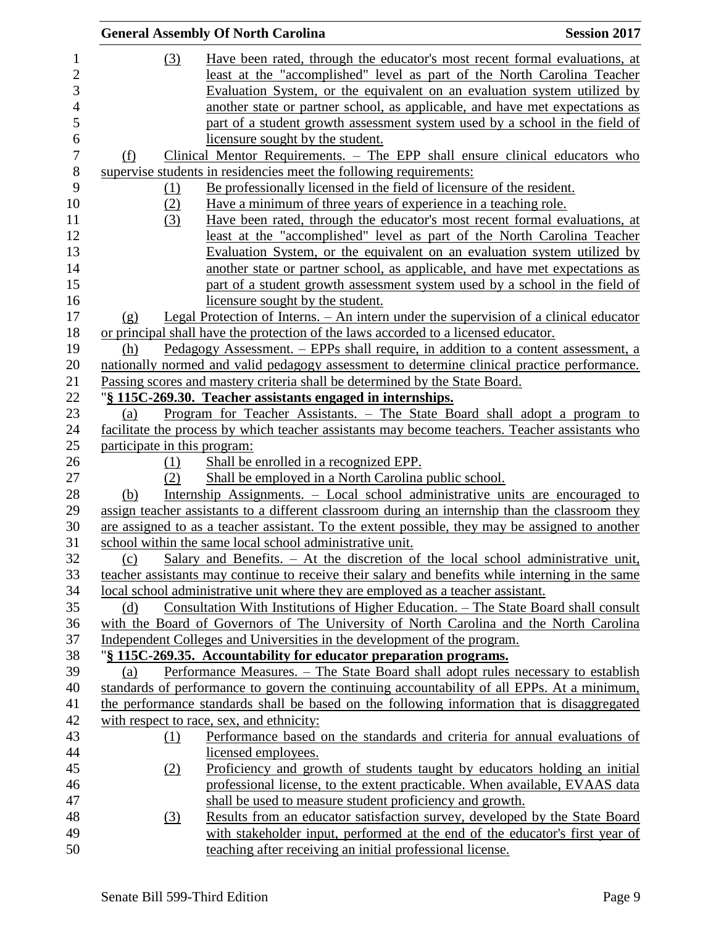|                                | <b>General Assembly Of North Carolina</b>                                                        | <b>Session 2017</b> |
|--------------------------------|--------------------------------------------------------------------------------------------------|---------------------|
| (3)                            | Have been rated, through the educator's most recent formal evaluations, at                       |                     |
|                                | least at the "accomplished" level as part of the North Carolina Teacher                          |                     |
|                                | Evaluation System, or the equivalent on an evaluation system utilized by                         |                     |
|                                | another state or partner school, as applicable, and have met expectations as                     |                     |
|                                | part of a student growth assessment system used by a school in the field of                      |                     |
|                                | licensure sought by the student.                                                                 |                     |
| (f)                            | Clinical Mentor Requirements. – The EPP shall ensure clinical educators who                      |                     |
|                                | supervise students in residencies meet the following requirements:                               |                     |
| <u>(1)</u>                     | Be professionally licensed in the field of licensure of the resident.                            |                     |
| (2)                            | Have a minimum of three years of experience in a teaching role.                                  |                     |
| (3)                            | Have been rated, through the educator's most recent formal evaluations, at                       |                     |
|                                | <u>least at the "accomplished" level as part of the North Carolina Teacher</u>                   |                     |
|                                | Evaluation System, or the equivalent on an evaluation system utilized by                         |                     |
|                                | another state or partner school, as applicable, and have met expectations as                     |                     |
|                                | part of a student growth assessment system used by a school in the field of                      |                     |
|                                | licensure sought by the student.                                                                 |                     |
|                                | <u>Legal Protection of Interns. – An intern under the supervision of a clinical educator</u>     |                     |
| $\left( \underline{g} \right)$ | or principal shall have the protection of the laws accorded to a licensed educator.              |                     |
| (h)                            | Pedagogy Assessment. – EPPs shall require, in addition to a content assessment, a                |                     |
|                                | nationally normed and valid pedagogy assessment to determine clinical practice performance.      |                     |
|                                | Passing scores and mastery criteria shall be determined by the State Board.                      |                     |
|                                | "§ 115C-269.30. Teacher assistants engaged in internships.                                       |                     |
| (a)                            | <u>Program for Teacher Assistants. – The State Board shall adopt a program to</u>                |                     |
|                                | facilitate the process by which teacher assistants may become teachers. Teacher assistants who   |                     |
| participate in this program:   |                                                                                                  |                     |
| (1)                            | Shall be enrolled in a recognized EPP.                                                           |                     |
| (2)                            | Shall be employed in a North Carolina public school.                                             |                     |
| (b)                            | Internship Assignments. - Local school administrative units are encouraged to                    |                     |
|                                | assign teacher assistants to a different classroom during an internship than the classroom they  |                     |
|                                | are assigned to as a teacher assistant. To the extent possible, they may be assigned to another  |                     |
|                                | school within the same local school administrative unit.                                         |                     |
| (c)                            | Salary and Benefits. $-$ At the discretion of the local school administrative unit,              |                     |
|                                | teacher assistants may continue to receive their salary and benefits while interning in the same |                     |
|                                | local school administrative unit where they are employed as a teacher assistant.                 |                     |
| (d)                            | Consultation With Institutions of Higher Education. - The State Board shall consult              |                     |
|                                | with the Board of Governors of The University of North Carolina and the North Carolina           |                     |
|                                | Independent Colleges and Universities in the development of the program.                         |                     |
|                                | "§ 115C-269.35. Accountability for educator preparation programs.                                |                     |
| (a)                            | Performance Measures. – The State Board shall adopt rules necessary to establish                 |                     |
|                                | standards of performance to govern the continuing accountability of all EPPs. At a minimum,      |                     |
|                                | the performance standards shall be based on the following information that is disaggregated      |                     |
|                                | with respect to race, sex, and ethnicity:                                                        |                     |
| (1)                            | Performance based on the standards and criteria for annual evaluations of                        |                     |
|                                | licensed employees.                                                                              |                     |
| (2)                            | Proficiency and growth of students taught by educators holding an initial                        |                     |
|                                | professional license, to the extent practicable. When available, EVAAS data                      |                     |
|                                | shall be used to measure student proficiency and growth.                                         |                     |
| $\left(3\right)$               | Results from an educator satisfaction survey, developed by the State Board                       |                     |
|                                | with stakeholder input, performed at the end of the educator's first year of                     |                     |
|                                | teaching after receiving an initial professional license.                                        |                     |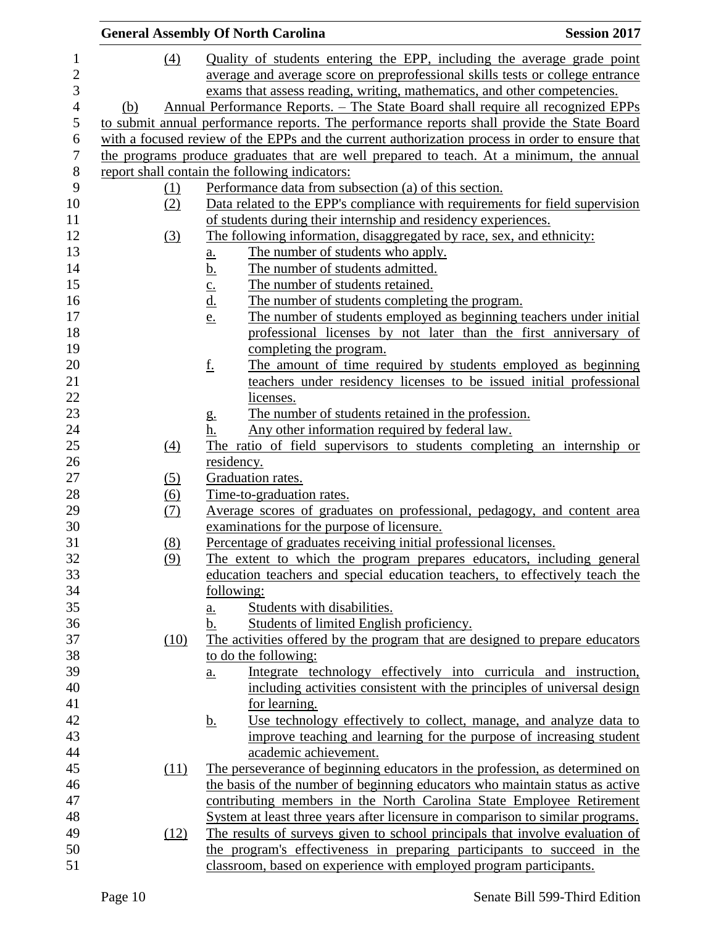|            | <b>General Assembly Of North Carolina</b><br><b>Session 2017</b>                                |
|------------|-------------------------------------------------------------------------------------------------|
| (4)        | Quality of students entering the EPP, including the average grade point                         |
|            | average and average score on preprofessional skills tests or college entrance                   |
|            | exams that assess reading, writing, mathematics, and other competencies.                        |
| (b)        | Annual Performance Reports. – The State Board shall require all recognized EPPs                 |
|            | to submit annual performance reports. The performance reports shall provide the State Board     |
|            | with a focused review of the EPPs and the current authorization process in order to ensure that |
|            | the programs produce graduates that are well prepared to teach. At a minimum, the annual        |
|            | report shall contain the following indicators:                                                  |
| <u>(1)</u> | Performance data from subsection (a) of this section.                                           |
| (2)        | Data related to the EPP's compliance with requirements for field supervision                    |
|            | of students during their internship and residency experiences.                                  |
| (3)        | The following information, disaggregated by race, sex, and ethnicity:                           |
|            | The number of students who apply.                                                               |
|            | $\underline{a}$ .<br>The number of students admitted.                                           |
|            | $\frac{b}{c}$ .<br>$\frac{c}{d}$ .<br>The number of students retained.                          |
|            | The number of students completing the program.                                                  |
|            | <u>e.</u><br>The number of students employed as beginning teachers under initial                |
|            | professional licenses by not later than the first anniversary of                                |
|            | completing the program.                                                                         |
|            | <u>f.</u><br>The amount of time required by students employed as beginning                      |
|            | teachers under residency licenses to be issued initial professional                             |
|            | licenses.                                                                                       |
|            | The number of students retained in the profession.                                              |
|            | $g_{\cdot}$<br>Any other information required by federal law.<br>h.                             |
| (4)        | The ratio of field supervisors to students completing an internship or                          |
|            | residency.                                                                                      |
| (5)        | Graduation rates.                                                                               |
| <u>(6)</u> | Time-to-graduation rates.                                                                       |
| (7)        | Average scores of graduates on professional, pedagogy, and content area                         |
|            | examinations for the purpose of licensure.                                                      |
| (8)        | Percentage of graduates receiving initial professional licenses.                                |
| (9)        | The extent to which the program prepares educators, including general                           |
|            | education teachers and special education teachers, to effectively teach the                     |
|            | following:                                                                                      |
|            | Students with disabilities.<br><u>a.</u>                                                        |
|            | Students of limited English proficiency.<br>b.                                                  |
| (10)       | The activities offered by the program that are designed to prepare educators                    |
|            | to do the following:                                                                            |
|            | Integrate technology effectively into curricula and instruction,<br>$\underline{a}$ .           |
|            | including activities consistent with the principles of universal design                         |
|            | for learning.                                                                                   |
|            | Use technology effectively to collect, manage, and analyze data to<br><u>b.</u>                 |
|            | improve teaching and learning for the purpose of increasing student                             |
|            | academic achievement.                                                                           |
| (11)       | The perseverance of beginning educators in the profession, as determined on                     |
|            | the basis of the number of beginning educators who maintain status as active                    |
|            | contributing members in the North Carolina State Employee Retirement                            |
|            | System at least three years after licensure in comparison to similar programs.                  |
|            | The results of surveys given to school principals that involve evaluation of                    |
| (12)       | the program's effectiveness in preparing participants to succeed in the                         |
|            | classroom, based on experience with employed program participants.                              |
|            |                                                                                                 |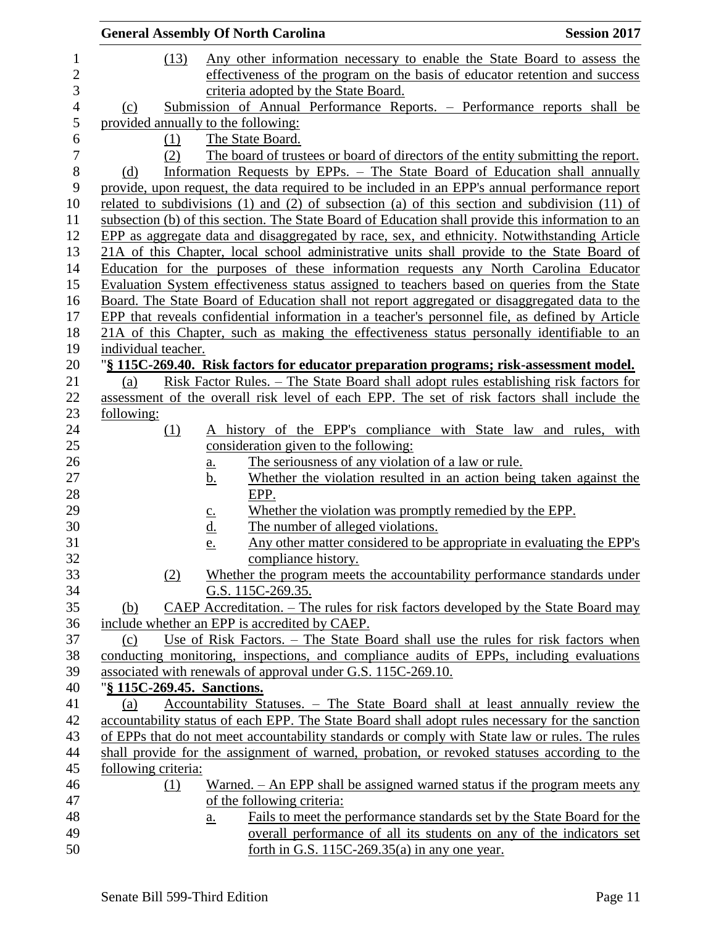|                            | <b>General Assembly Of North Carolina</b>                                                                                       | <b>Session 2017</b> |
|----------------------------|---------------------------------------------------------------------------------------------------------------------------------|---------------------|
| (13)                       | Any other information necessary to enable the State Board to assess the                                                         |                     |
|                            | effectiveness of the program on the basis of educator retention and success                                                     |                     |
|                            | criteria adopted by the State Board.                                                                                            |                     |
| (c)                        | Submission of Annual Performance Reports. - Performance reports shall be                                                        |                     |
|                            | provided annually to the following:                                                                                             |                     |
| (1)                        | The State Board.                                                                                                                |                     |
| (2)                        | The board of trustees or board of directors of the entity submitting the report.                                                |                     |
| (d)                        | Information Requests by EPPs. – The State Board of Education shall annually                                                     |                     |
|                            | provide, upon request, the data required to be included in an EPP's annual performance report                                   |                     |
|                            | related to subdivisions $(1)$ and $(2)$ of subsection $(a)$ of this section and subdivision $(11)$ of                           |                     |
|                            | subsection (b) of this section. The State Board of Education shall provide this information to an                               |                     |
|                            | EPP as aggregate data and disaggregated by race, sex, and ethnicity. Notwithstanding Article                                    |                     |
|                            | 21A of this Chapter, local school administrative units shall provide to the State Board of                                      |                     |
|                            | Education for the purposes of these information requests any North Carolina Educator                                            |                     |
|                            | Evaluation System effectiveness status assigned to teachers based on queries from the State                                     |                     |
|                            | Board. The State Board of Education shall not report aggregated or disaggregated data to the                                    |                     |
|                            | EPP that reveals confidential information in a teacher's personnel file, as defined by Article                                  |                     |
|                            | 21A of this Chapter, such as making the effectiveness status personally identifiable to an                                      |                     |
| individual teacher.        |                                                                                                                                 |                     |
|                            | "§ 115C-269.40. Risk factors for educator preparation programs; risk-assessment model.                                          |                     |
| (a)                        | <u>Risk Factor Rules. – The State Board shall adopt rules establishing risk factors for</u>                                     |                     |
|                            | assessment of the overall risk level of each EPP. The set of risk factors shall include the                                     |                     |
| following:                 |                                                                                                                                 |                     |
| (1)                        | history of the EPP's compliance with State law and rules, with<br>A                                                             |                     |
|                            | consideration given to the following:                                                                                           |                     |
|                            | The seriousness of any violation of a law or rule.<br>a.<br>Whether the violation resulted in an action being taken against the |                     |
|                            | <u>b.</u><br>EPP.                                                                                                               |                     |
|                            | Whether the violation was promptly remedied by the EPP.                                                                         |                     |
|                            | $c_{\cdot}$<br>The number of alleged violations.                                                                                |                     |
|                            | <u>d.</u><br>Any other matter considered to be appropriate in evaluating the EPP's<br>e.                                        |                     |
|                            | compliance history.                                                                                                             |                     |
| (2)                        | Whether the program meets the accountability performance standards under                                                        |                     |
|                            | G.S. 115C-269.35.                                                                                                               |                     |
| (b)                        | CAEP Accreditation. – The rules for risk factors developed by the State Board may                                               |                     |
|                            | include whether an EPP is accredited by CAEP.                                                                                   |                     |
| (c)                        | Use of Risk Factors. - The State Board shall use the rules for risk factors when                                                |                     |
|                            | conducting monitoring, inspections, and compliance audits of EPPs, including evaluations                                        |                     |
|                            | associated with renewals of approval under G.S. 115C-269.10.                                                                    |                     |
| "§ 115C-269.45. Sanctions. |                                                                                                                                 |                     |
| (a)                        | Accountability Statuses. - The State Board shall at least annually review the                                                   |                     |
|                            | accountability status of each EPP. The State Board shall adopt rules necessary for the sanction                                 |                     |
|                            | of EPPs that do not meet accountability standards or comply with State law or rules. The rules                                  |                     |
|                            | shall provide for the assignment of warned, probation, or revoked statuses according to the                                     |                     |
| following criteria:        |                                                                                                                                 |                     |
| (1)                        | Warned. – An EPP shall be assigned warned status if the program meets any                                                       |                     |
|                            | of the following criteria:                                                                                                      |                     |
|                            | Fails to meet the performance standards set by the State Board for the<br>$a_{\cdot}$                                           |                     |
|                            | overall performance of all its students on any of the indicators set                                                            |                     |
|                            | forth in G.S. $115C-269.35(a)$ in any one year.                                                                                 |                     |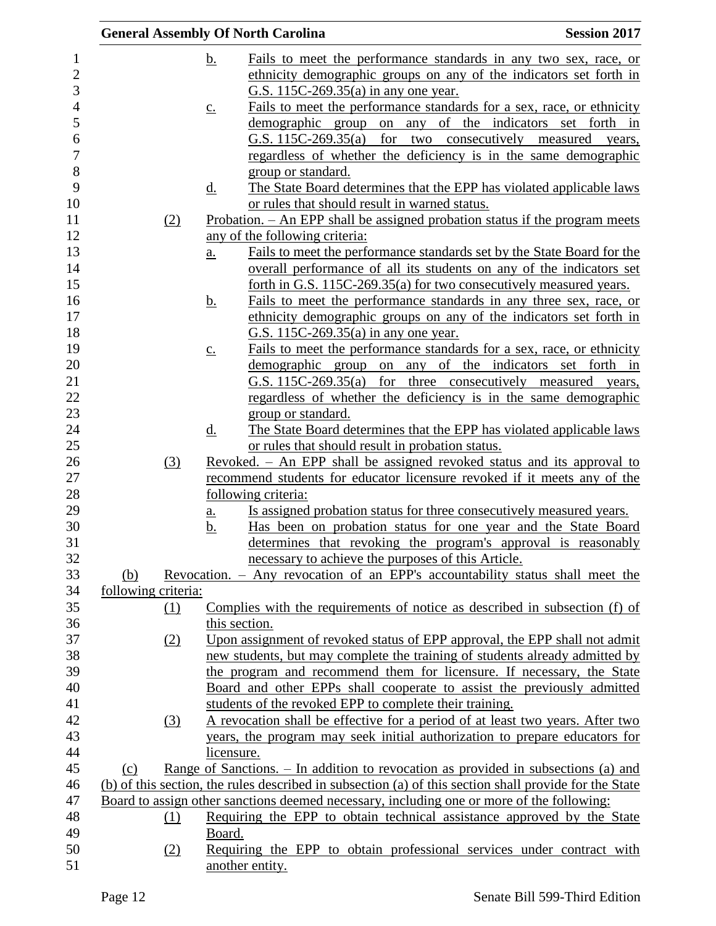|                     |                            | <b>General Assembly Of North Carolina</b>                                                                                                                   | <b>Session 2017</b>         |
|---------------------|----------------------------|-------------------------------------------------------------------------------------------------------------------------------------------------------------|-----------------------------|
|                     | <u>b.</u>                  | Fails to meet the performance standards in any two sex, race, or                                                                                            |                             |
|                     |                            | ethnicity demographic groups on any of the indicators set forth in                                                                                          |                             |
|                     |                            | G.S. 115C-269.35(a) in any one year.                                                                                                                        |                             |
|                     | $\underline{c}$ .          | Fails to meet the performance standards for a sex, race, or ethnicity                                                                                       |                             |
|                     |                            | demographic group on any of                                                                                                                                 | the indicators set forth in |
|                     |                            | G.S. 115C-269.35(a)<br>for two consecutively measured                                                                                                       | years,                      |
|                     |                            | regardless of whether the deficiency is in the same demographic                                                                                             |                             |
|                     |                            | group or standard.                                                                                                                                          |                             |
|                     | <u>d.</u>                  | The State Board determines that the EPP has violated applicable laws                                                                                        |                             |
|                     |                            | or rules that should result in warned status.                                                                                                               |                             |
| (2)                 |                            | <u>Probation. – An EPP shall be assigned probation status if the program meets</u>                                                                          |                             |
|                     |                            | any of the following criteria:                                                                                                                              |                             |
|                     | a.                         | Fails to meet the performance standards set by the State Board for the                                                                                      |                             |
|                     |                            | overall performance of all its students on any of the indicators set                                                                                        |                             |
|                     |                            | forth in G.S. 115C-269.35(a) for two consecutively measured years.                                                                                          |                             |
|                     | <u>b.</u>                  | Fails to meet the performance standards in any three sex, race, or                                                                                          |                             |
|                     |                            | ethnicity demographic groups on any of the indicators set forth in                                                                                          |                             |
|                     |                            | G.S. 115C-269.35(a) in any one year.<br>Fails to meet the performance standards for a sex, race, or ethnicity                                               |                             |
|                     | $\underline{c}$ .          | demographic group on any of the indicators set forth in                                                                                                     |                             |
|                     |                            | G.S. 115C-269.35(a) for three consecutively measured years,                                                                                                 |                             |
|                     |                            | regardless of whether the deficiency is in the same demographic                                                                                             |                             |
|                     |                            | group or standard.                                                                                                                                          |                             |
|                     | $\underline{\mathrm{d}}$ . | The State Board determines that the EPP has violated applicable laws                                                                                        |                             |
|                     |                            | or rules that should result in probation status.                                                                                                            |                             |
| (3)                 |                            | Revoked. – An EPP shall be assigned revoked status and its approval to                                                                                      |                             |
|                     |                            | recommend students for educator licensure revoked if it meets any of the                                                                                    |                             |
|                     |                            | following criteria:                                                                                                                                         |                             |
|                     | <u>a.</u>                  | Is assigned probation status for three consecutively measured years.                                                                                        |                             |
|                     | <u>b.</u>                  | Has been on probation status for one year and the State Board                                                                                               |                             |
|                     |                            | determines that revoking the program's approval is reasonably                                                                                               |                             |
|                     |                            | necessary to achieve the purposes of this Article.                                                                                                          |                             |
| (b)                 |                            | Revocation. - Any revocation of an EPP's accountability status shall meet the                                                                               |                             |
| following criteria: |                            |                                                                                                                                                             |                             |
| $\Omega$            |                            | Complies with the requirements of notice as described in subsection (f) of                                                                                  |                             |
|                     |                            | this section.                                                                                                                                               |                             |
| (2)                 |                            | Upon assignment of revoked status of EPP approval, the EPP shall not admit                                                                                  |                             |
|                     |                            | new students, but may complete the training of students already admitted by                                                                                 |                             |
|                     |                            | the program and recommend them for licensure. If necessary, the State                                                                                       |                             |
|                     |                            | Board and other EPPs shall cooperate to assist the previously admitted                                                                                      |                             |
|                     |                            | students of the revoked EPP to complete their training.                                                                                                     |                             |
| (3)                 |                            | A revocation shall be effective for a period of at least two years. After two<br>years, the program may seek initial authorization to prepare educators for |                             |
|                     | licensure.                 |                                                                                                                                                             |                             |
| (c)                 |                            | Range of Sanctions. $-$ In addition to revocation as provided in subsections (a) and                                                                        |                             |
|                     |                            | (b) of this section, the rules described in subsection (a) of this section shall provide for the State                                                      |                             |
|                     |                            | Board to assign other sanctions deemed necessary, including one or more of the following:                                                                   |                             |
| (1)                 |                            | Requiring the EPP to obtain technical assistance approved by the State                                                                                      |                             |
|                     | Board.                     |                                                                                                                                                             |                             |
| (2)                 |                            | Requiring the EPP to obtain professional services under contract with                                                                                       |                             |
|                     |                            | another entity.                                                                                                                                             |                             |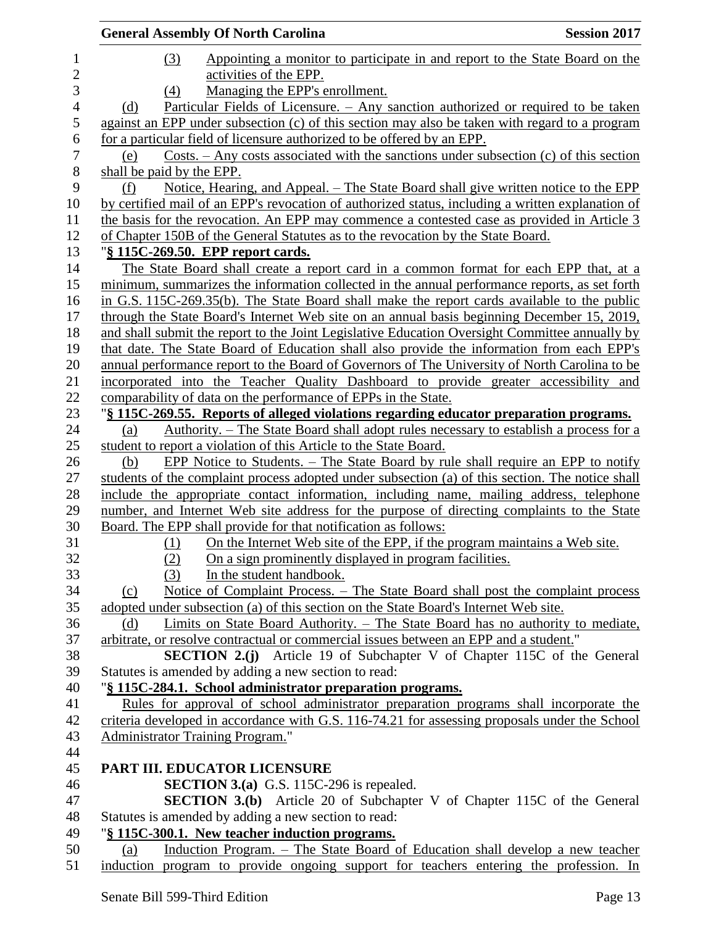| <b>General Assembly Of North Carolina</b>                                                         | <b>Session 2017</b> |
|---------------------------------------------------------------------------------------------------|---------------------|
| Appointing a monitor to participate in and report to the State Board on the<br>(3)                |                     |
| activities of the EPP.                                                                            |                     |
| Managing the EPP's enrollment.<br>(4)                                                             |                     |
| Particular Fields of Licensure. - Any sanction authorized or required to be taken<br>(d)          |                     |
| against an EPP under subsection (c) of this section may also be taken with regard to a program    |                     |
| for a particular field of licensure authorized to be offered by an EPP.                           |                     |
| $Costs. - Any costs associated with the sanctions under subsection (c) of this section$<br>(e)    |                     |
| shall be paid by the EPP.                                                                         |                     |
| Notice, Hearing, and Appeal. – The State Board shall give written notice to the EPP<br>(f)        |                     |
| by certified mail of an EPP's revocation of authorized status, including a written explanation of |                     |
| the basis for the revocation. An EPP may commence a contested case as provided in Article 3       |                     |
| of Chapter 150B of the General Statutes as to the revocation by the State Board.                  |                     |
| "§ 115C-269.50. EPP report cards.                                                                 |                     |
| The State Board shall create a report card in a common format for each EPP that, at a             |                     |
| minimum, summarizes the information collected in the annual performance reports, as set forth     |                     |
| in G.S. 115C-269.35(b). The State Board shall make the report cards available to the public       |                     |
| through the State Board's Internet Web site on an annual basis beginning December 15, 2019,       |                     |
| and shall submit the report to the Joint Legislative Education Oversight Committee annually by    |                     |
| that date. The State Board of Education shall also provide the information from each EPP's        |                     |
| annual performance report to the Board of Governors of The University of North Carolina to be     |                     |
| incorporated into the Teacher Quality Dashboard to provide greater accessibility and              |                     |
| comparability of data on the performance of EPPs in the State.                                    |                     |
| "§ 115C-269.55. Reports of alleged violations regarding educator preparation programs.            |                     |
| Authority. – The State Board shall adopt rules necessary to establish a process for a<br>(a)      |                     |
| student to report a violation of this Article to the State Board.                                 |                     |
| EPP Notice to Students. – The State Board by rule shall require an EPP to notify<br>(b)           |                     |
| students of the complaint process adopted under subsection (a) of this section. The notice shall  |                     |
| include the appropriate contact information, including name, mailing address, telephone           |                     |
| number, and Internet Web site address for the purpose of directing complaints to the State        |                     |
| Board. The EPP shall provide for that notification as follows:                                    |                     |
| On the Internet Web site of the EPP, if the program maintains a Web site.<br>(1)                  |                     |
| On a sign prominently displayed in program facilities.<br><u>(2)</u>                              |                     |
| In the student handbook.<br>(3)                                                                   |                     |
| Notice of Complaint Process. – The State Board shall post the complaint process<br>(c)            |                     |
| adopted under subsection (a) of this section on the State Board's Internet Web site.              |                     |
| Limits on State Board Authority. – The State Board has no authority to mediate,<br>(d)            |                     |
| arbitrate, or resolve contractual or commercial issues between an EPP and a student."             |                     |
| <b>SECTION 2.(j)</b> Article 19 of Subchapter V of Chapter 115C of the General                    |                     |
| Statutes is amended by adding a new section to read:                                              |                     |
| "§ 115C-284.1. School administrator preparation programs.                                         |                     |
| Rules for approval of school administrator preparation programs shall incorporate the             |                     |
| criteria developed in accordance with G.S. 116-74.21 for assessing proposals under the School     |                     |
| Administrator Training Program."                                                                  |                     |
|                                                                                                   |                     |
| PART III. EDUCATOR LICENSURE                                                                      |                     |
| <b>SECTION 3.(a)</b> G.S. 115C-296 is repealed.                                                   |                     |
| <b>SECTION 3.(b)</b> Article 20 of Subchapter V of Chapter 115C of the General                    |                     |
| Statutes is amended by adding a new section to read:                                              |                     |
| "§ 115C-300.1. New teacher induction programs.                                                    |                     |
| Induction Program. - The State Board of Education shall develop a new teacher<br>(a)              |                     |
| induction program to provide ongoing support for teachers entering the profession. In             |                     |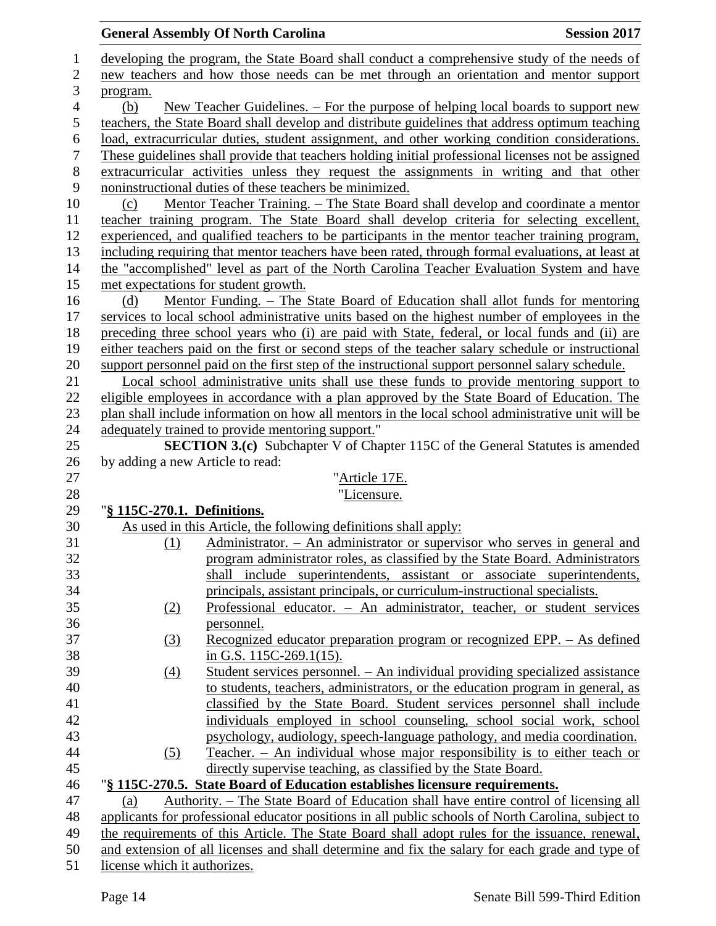## **General Assembly Of North Carolina Session 2017**  developing the program, the State Board shall conduct a comprehensive study of the needs of new teachers and how those needs can be met through an orientation and mentor support program. (b) New Teacher Guidelines. – For the purpose of helping local boards to support new teachers, the State Board shall develop and distribute guidelines that address optimum teaching load, extracurricular duties, student assignment, and other working condition considerations. These guidelines shall provide that teachers holding initial professional licenses not be assigned extracurricular activities unless they request the assignments in writing and that other noninstructional duties of these teachers be minimized. (c) Mentor Teacher Training. – The State Board shall develop and coordinate a mentor teacher training program. The State Board shall develop criteria for selecting excellent, experienced, and qualified teachers to be participants in the mentor teacher training program, including requiring that mentor teachers have been rated, through formal evaluations, at least at the "accomplished" level as part of the North Carolina Teacher Evaluation System and have met expectations for student growth. (d) Mentor Funding. – The State Board of Education shall allot funds for mentoring services to local school administrative units based on the highest number of employees in the preceding three school years who (i) are paid with State, federal, or local funds and (ii) are either teachers paid on the first or second steps of the teacher salary schedule or instructional support personnel paid on the first step of the instructional support personnel salary schedule. Local school administrative units shall use these funds to provide mentoring support to eligible employees in accordance with a plan approved by the State Board of Education. The plan shall include information on how all mentors in the local school administrative unit will be adequately trained to provide mentoring support." **SECTION 3.(c)** Subchapter V of Chapter 115C of the General Statutes is amended by adding a new Article to read: "Article 17E. "Licensure. "**§ 115C-270.1. Definitions.** As used in this Article, the following definitions shall apply: (1) Administrator. – An administrator or supervisor who serves in general and program administrator roles, as classified by the State Board. Administrators shall include superintendents, assistant or associate superintendents, principals, assistant principals, or curriculum-instructional specialists. (2) Professional educator. – An administrator, teacher, or student services personnel. (3) Recognized educator preparation program or recognized EPP. – As defined in G.S. 115C-269.1(15). (4) Student services personnel. – An individual providing specialized assistance to students, teachers, administrators, or the education program in general, as classified by the State Board. Student services personnel shall include individuals employed in school counseling, school social work, school psychology, audiology, speech-language pathology, and media coordination. (5) Teacher. – An individual whose major responsibility is to either teach or directly supervise teaching, as classified by the State Board. "**§ 115C-270.5. State Board of Education establishes licensure requirements.** (a) Authority. – The State Board of Education shall have entire control of licensing all applicants for professional educator positions in all public schools of North Carolina, subject to the requirements of this Article. The State Board shall adopt rules for the issuance, renewal, and extension of all licenses and shall determine and fix the salary for each grade and type of

license which it authorizes.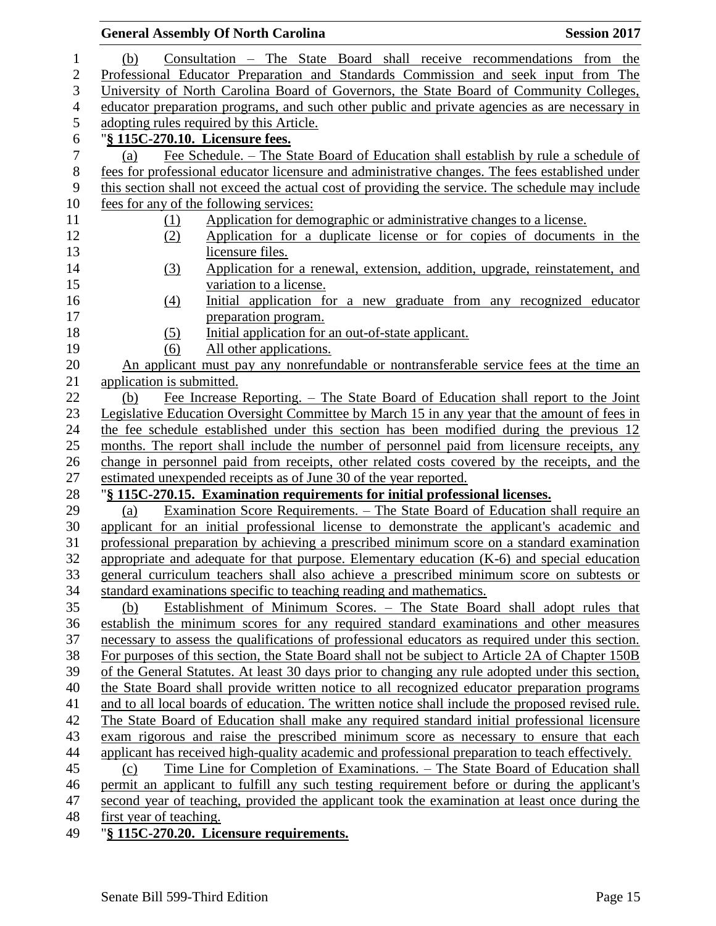|                           | <b>General Assembly Of North Carolina</b>                                                         | <b>Session 2017</b> |
|---------------------------|---------------------------------------------------------------------------------------------------|---------------------|
| (b)                       | Consultation – The State Board shall receive recommendations from the                             |                     |
|                           | Professional Educator Preparation and Standards Commission and seek input from The                |                     |
|                           | University of North Carolina Board of Governors, the State Board of Community Colleges,           |                     |
|                           | educator preparation programs, and such other public and private agencies as are necessary in     |                     |
|                           | adopting rules required by this Article.                                                          |                     |
|                           | "§ 115C-270.10. Licensure fees.                                                                   |                     |
| (a)                       | Fee Schedule. – The State Board of Education shall establish by rule a schedule of                |                     |
|                           | fees for professional educator licensure and administrative changes. The fees established under   |                     |
|                           | this section shall not exceed the actual cost of providing the service. The schedule may include  |                     |
|                           | fees for any of the following services:                                                           |                     |
| (1)                       | Application for demographic or administrative changes to a license.                               |                     |
| (2)                       | Application for a duplicate license or for copies of documents in the                             |                     |
|                           | licensure files.                                                                                  |                     |
| (3)                       | Application for a renewal, extension, addition, upgrade, reinstatement, and                       |                     |
|                           | variation to a license.                                                                           |                     |
| (4)                       | Initial application for a new graduate from any recognized educator                               |                     |
|                           | preparation program.                                                                              |                     |
| (5)                       | Initial application for an out-of-state applicant.                                                |                     |
| (6)                       | All other applications.                                                                           |                     |
|                           | An applicant must pay any nonrefundable or nontransferable service fees at the time an            |                     |
| application is submitted. |                                                                                                   |                     |
| (b)                       | Fee Increase Reporting. – The State Board of Education shall report to the Joint                  |                     |
|                           | Legislative Education Oversight Committee by March 15 in any year that the amount of fees in      |                     |
|                           | the fee schedule established under this section has been modified during the previous 12          |                     |
|                           | months. The report shall include the number of personnel paid from licensure receipts, any        |                     |
|                           | change in personnel paid from receipts, other related costs covered by the receipts, and the      |                     |
|                           | estimated unexpended receipts as of June 30 of the year reported.                                 |                     |
|                           | "§ 115C-270.15. Examination requirements for initial professional licenses.                       |                     |
| (a)                       | <u>Examination Score Requirements. – The State Board of Education shall require an</u>            |                     |
|                           | applicant for an initial professional license to demonstrate the applicant's academic and         |                     |
|                           | professional preparation by achieving a prescribed minimum score on a standard examination        |                     |
|                           | appropriate and adequate for that purpose. Elementary education $(K-6)$ and special education     |                     |
|                           | general curriculum teachers shall also achieve a prescribed minimum score on subtests or          |                     |
|                           | standard examinations specific to teaching reading and mathematics.                               |                     |
| (b)                       | Establishment of Minimum Scores. - The State Board shall adopt rules that                         |                     |
|                           | establish the minimum scores for any required standard examinations and other measures            |                     |
|                           | necessary to assess the qualifications of professional educators as required under this section.  |                     |
|                           | For purposes of this section, the State Board shall not be subject to Article 2A of Chapter 150B  |                     |
|                           | of the General Statutes. At least 30 days prior to changing any rule adopted under this section,  |                     |
|                           | the State Board shall provide written notice to all recognized educator preparation programs      |                     |
|                           | and to all local boards of education. The written notice shall include the proposed revised rule. |                     |
|                           | The State Board of Education shall make any required standard initial professional licensure      |                     |
|                           | exam rigorous and raise the prescribed minimum score as necessary to ensure that each             |                     |
|                           | applicant has received high-quality academic and professional preparation to teach effectively.   |                     |
| (c)                       | <u>Time Line for Completion of Examinations. – The State Board of Education shall</u>             |                     |
|                           | permit an applicant to fulfill any such testing requirement before or during the applicant's      |                     |
|                           | second year of teaching, provided the applicant took the examination at least once during the     |                     |
| first year of teaching.   |                                                                                                   |                     |
|                           | "S 1150 $270.20$ J isonguno noguinamento                                                          |                     |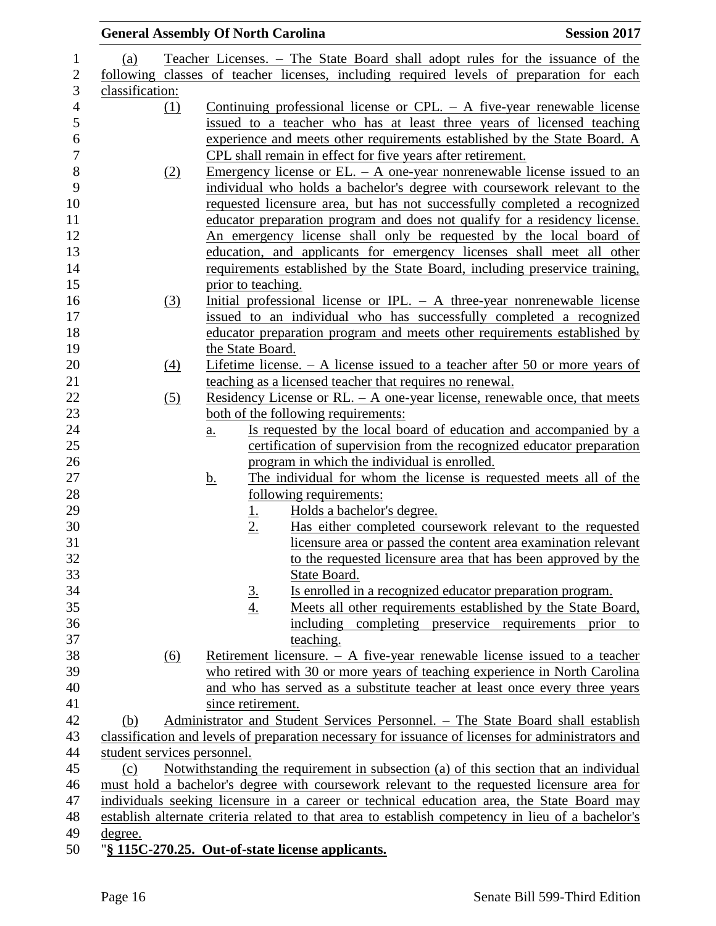|                 |          | <b>General Assembly Of North Carolina</b>                                                          | <b>Session 2017</b> |
|-----------------|----------|----------------------------------------------------------------------------------------------------|---------------------|
| (a)             |          | <u>Teacher Licenses. – The State Board shall adopt rules for the issuance of the</u>               |                     |
|                 |          | following classes of teacher licenses, including required levels of preparation for each           |                     |
| classification: |          |                                                                                                    |                     |
|                 | $\Omega$ | Continuing professional license or CPL. $-$ A five-year renewable license                          |                     |
|                 |          | issued to a teacher who has at least three years of licensed teaching                              |                     |
|                 |          | experience and meets other requirements established by the State Board. A                          |                     |
|                 |          | CPL shall remain in effect for five years after retirement.                                        |                     |
|                 | (2)      | Emergency license or EL. $-$ A one-year nonrenewable license issued to an                          |                     |
|                 |          | individual who holds a bachelor's degree with coursework relevant to the                           |                     |
|                 |          | requested licensure area, but has not successfully completed a recognized                          |                     |
|                 |          | educator preparation program and does not qualify for a residency license.                         |                     |
|                 |          | An emergency license shall only be requested by the local board of                                 |                     |
|                 |          | education, and applicants for emergency licenses shall meet all other                              |                     |
|                 |          | requirements established by the State Board, including preservice training,                        |                     |
|                 |          | prior to teaching.                                                                                 |                     |
|                 | (3)      | Initial professional license or IPL. $-$ A three-year nonrenewable license                         |                     |
|                 |          | issued to an individual who has successfully completed a recognized                                |                     |
|                 |          | educator preparation program and meets other requirements established by                           |                     |
|                 |          | the State Board.                                                                                   |                     |
|                 | (4)      | Lifetime license. $- A$ license issued to a teacher after 50 or more years of                      |                     |
|                 |          | teaching as a licensed teacher that requires no renewal.                                           |                     |
|                 | (5)      | <u>Residency License or RL. – A one-year license, renewable once, that meets</u>                   |                     |
|                 |          | both of the following requirements:                                                                |                     |
|                 |          | Is requested by the local board of education and accompanied by a<br>a.                            |                     |
|                 |          | certification of supervision from the recognized educator preparation                              |                     |
|                 |          | program in which the individual is enrolled.                                                       |                     |
|                 |          | The individual for whom the license is requested meets all of the<br><u>b.</u>                     |                     |
|                 |          | following requirements:                                                                            |                     |
|                 |          | Holds a bachelor's degree.<br><u>1.</u>                                                            |                     |
|                 |          | 2.<br>Has either completed coursework relevant to the requested                                    |                     |
|                 |          | licensure area or passed the content area examination relevant                                     |                     |
|                 |          | to the requested licensure area that has been approved by the                                      |                     |
|                 |          | State Board.                                                                                       |                     |
|                 |          | Is enrolled in a recognized educator preparation program.                                          |                     |
|                 |          | $\frac{3}{4}$<br>Meets all other requirements established by the State Board,                      |                     |
|                 |          | including completing preservice requirements prior                                                 | to                  |
|                 |          | teaching.                                                                                          |                     |
|                 | (6)      | Retirement licensure. $- A$ five-year renewable license issued to a teacher                        |                     |
|                 |          | who retired with 30 or more years of teaching experience in North Carolina                         |                     |
|                 |          | and who has served as a substitute teacher at least once every three years                         |                     |
|                 |          | since retirement.                                                                                  |                     |
| (b)             |          | Administrator and Student Services Personnel. - The State Board shall establish                    |                     |
|                 |          | classification and levels of preparation necessary for issuance of licenses for administrators and |                     |
|                 |          | student services personnel.                                                                        |                     |
| (c)             |          | Notwithstanding the requirement in subsection (a) of this section that an individual               |                     |
|                 |          | must hold a bachelor's degree with coursework relevant to the requested licensure area for         |                     |
|                 |          | individuals seeking licensure in a career or technical education area, the State Board may         |                     |
|                 |          | establish alternate criteria related to that area to establish competency in lieu of a bachelor's  |                     |
| degree.         |          |                                                                                                    |                     |
|                 |          | "§ 115C-270.25. Out-of-state license applicants.                                                   |                     |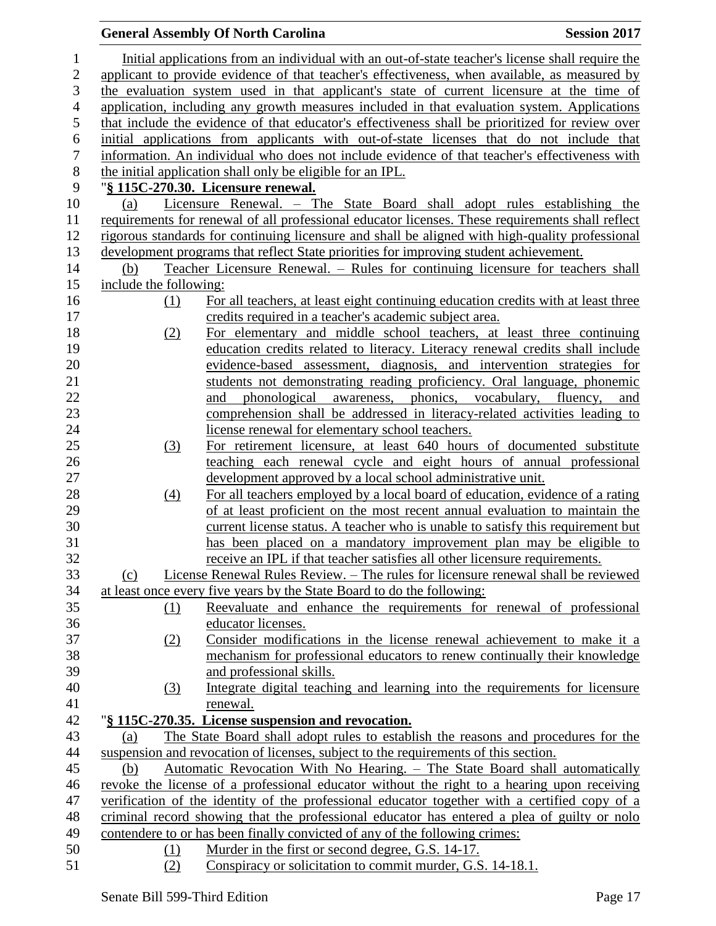|                  |                        | <b>General Assembly Of North Carolina</b>                                                                                                                                                    | <b>Session 2017</b> |
|------------------|------------------------|----------------------------------------------------------------------------------------------------------------------------------------------------------------------------------------------|---------------------|
| $\mathbf{1}$     |                        | Initial applications from an individual with an out-of-state teacher's license shall require the                                                                                             |                     |
| $\overline{2}$   |                        | applicant to provide evidence of that teacher's effectiveness, when available, as measured by                                                                                                |                     |
| 3                |                        | the evaluation system used in that applicant's state of current licensure at the time of                                                                                                     |                     |
| $\overline{4}$   |                        | application, including any growth measures included in that evaluation system. Applications                                                                                                  |                     |
| 5                |                        | that include the evidence of that educator's effectiveness shall be prioritized for review over                                                                                              |                     |
| 6                |                        | initial applications from applicants with out-of-state licenses that do not include that                                                                                                     |                     |
| $\boldsymbol{7}$ |                        | information. An individual who does not include evidence of that teacher's effectiveness with                                                                                                |                     |
| 8                |                        | the initial application shall only be eligible for an IPL.                                                                                                                                   |                     |
| 9                |                        | "§ 115C-270.30. Licensure renewal.                                                                                                                                                           |                     |
| 10               | (a)                    | Licensure Renewal. - The State Board shall adopt rules establishing the                                                                                                                      |                     |
| 11               |                        | requirements for renewal of all professional educator licenses. These requirements shall reflect                                                                                             |                     |
| 12               |                        | rigorous standards for continuing licensure and shall be aligned with high-quality professional                                                                                              |                     |
| 13               |                        | development programs that reflect State priorities for improving student achievement.                                                                                                        |                     |
| 14               | (b)                    | Teacher Licensure Renewal. – Rules for continuing licensure for teachers shall                                                                                                               |                     |
| 15               | include the following: |                                                                                                                                                                                              |                     |
| 16               | <u>(1)</u>             | For all teachers, at least eight continuing education credits with at least three                                                                                                            |                     |
| 17               |                        | credits required in a teacher's academic subject area.                                                                                                                                       |                     |
| 18               | (2)                    | For elementary and middle school teachers, at least three continuing                                                                                                                         |                     |
| 19               |                        | education credits related to literacy. Literacy renewal credits shall include                                                                                                                |                     |
| 20               |                        | evidence-based assessment, diagnosis, and intervention strategies for                                                                                                                        |                     |
| 21<br>22         |                        | students not demonstrating reading proficiency. Oral language, phonemic<br>phonological awareness, phonics, vocabulary, fluency, and                                                         |                     |
| 23               |                        | and<br>comprehension shall be addressed in literacy-related activities leading to                                                                                                            |                     |
| 24               |                        | license renewal for elementary school teachers.                                                                                                                                              |                     |
| 25               | (3)                    | For retirement licensure, at least 640 hours of documented substitute                                                                                                                        |                     |
| 26               |                        | teaching each renewal cycle and eight hours of annual professional                                                                                                                           |                     |
| 27               |                        | development approved by a local school administrative unit.                                                                                                                                  |                     |
| 28               | (4)                    | For all teachers employed by a local board of education, evidence of a rating                                                                                                                |                     |
| 29               |                        | of at least proficient on the most recent annual evaluation to maintain the                                                                                                                  |                     |
| 30               |                        | current license status. A teacher who is unable to satisfy this requirement but                                                                                                              |                     |
| 31               |                        | has been placed on a mandatory improvement plan may be eligible to                                                                                                                           |                     |
| 32               |                        | receive an IPL if that teacher satisfies all other licensure requirements.                                                                                                                   |                     |
| 33               | (c)                    | License Renewal Rules Review. - The rules for licensure renewal shall be reviewed                                                                                                            |                     |
| 34               |                        | at least once every five years by the State Board to do the following:                                                                                                                       |                     |
| 35               | (1)                    | Reevaluate and enhance the requirements for renewal of professional                                                                                                                          |                     |
| 36               |                        | educator licenses.                                                                                                                                                                           |                     |
| 37               | (2)                    | Consider modifications in the license renewal achievement to make it a                                                                                                                       |                     |
| 38               |                        | mechanism for professional educators to renew continually their knowledge                                                                                                                    |                     |
| 39               |                        | and professional skills.                                                                                                                                                                     |                     |
| 40               | (3)                    | Integrate digital teaching and learning into the requirements for licensure                                                                                                                  |                     |
| 41               |                        | renewal.                                                                                                                                                                                     |                     |
| 42               |                        | "§ 115C-270.35. License suspension and revocation.                                                                                                                                           |                     |
| 43               | (a)                    | The State Board shall adopt rules to establish the reasons and procedures for the                                                                                                            |                     |
| 44               |                        | suspension and revocation of licenses, subject to the requirements of this section.                                                                                                          |                     |
| 45<br>46         | (b)                    | Automatic Revocation With No Hearing. – The State Board shall automatically<br>revoke the license of a professional educator without the right to a hearing upon receiving                   |                     |
| 47               |                        |                                                                                                                                                                                              |                     |
| 48               |                        | verification of the identity of the professional educator together with a certified copy of a<br>criminal record showing that the professional educator has entered a plea of guilty or nolo |                     |
| 49               |                        | contendere to or has been finally convicted of any of the following crimes:                                                                                                                  |                     |
| 50               | (1)                    | Murder in the first or second degree, G.S. 14-17.                                                                                                                                            |                     |
| 51               | (2)                    | Conspiracy or solicitation to commit murder, G.S. 14-18.1.                                                                                                                                   |                     |
|                  |                        |                                                                                                                                                                                              |                     |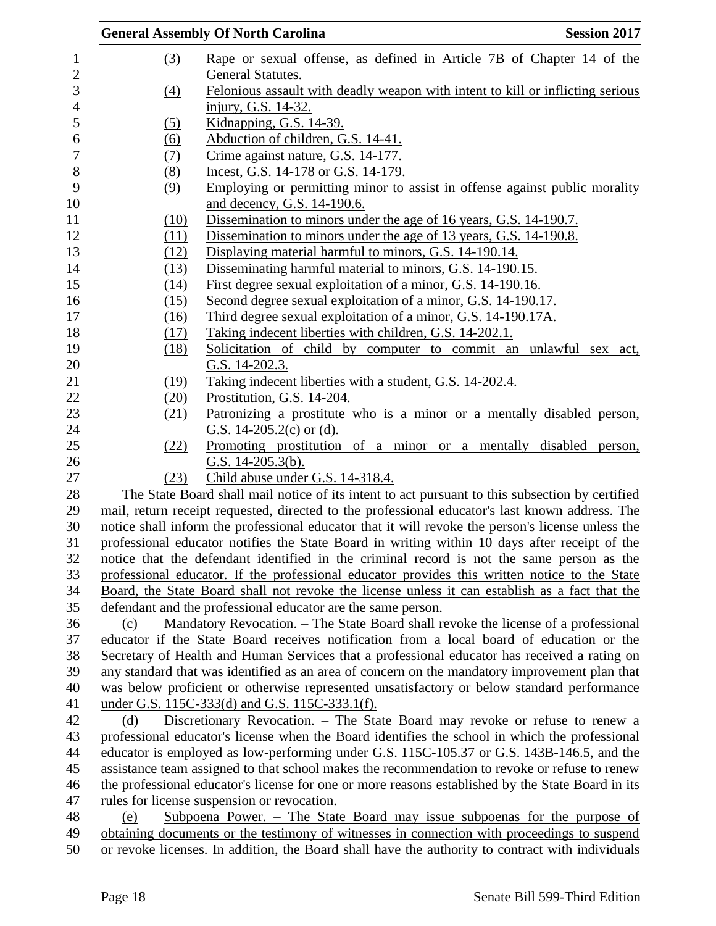|                  | <b>General Assembly Of North Carolina</b><br><b>Session 2017</b>                                  |  |
|------------------|---------------------------------------------------------------------------------------------------|--|
| $\left(3\right)$ | Rape or sexual offense, as defined in Article 7B of Chapter 14 of the                             |  |
|                  | <b>General Statutes.</b>                                                                          |  |
| $\Delta$         | Felonious assault with deadly weapon with intent to kill or inflicting serious                    |  |
|                  | injury, G.S. 14-32.                                                                               |  |
| (5)              | Kidnapping, G.S. 14-39.                                                                           |  |
| (6)              | Abduction of children, G.S. 14-41.                                                                |  |
| <u>(7)</u>       | Crime against nature, G.S. 14-177.                                                                |  |
| (8)              | Incest, G.S. 14-178 or G.S. 14-179.                                                               |  |
| (9)              | Employing or permitting minor to assist in offense against public morality                        |  |
|                  | and decency, G.S. 14-190.6.                                                                       |  |
| (10)             | Dissemination to minors under the age of 16 years, G.S. 14-190.7.                                 |  |
| (11)             | Dissemination to minors under the age of 13 years, G.S. 14-190.8.                                 |  |
| (12)             | Displaying material harmful to minors, G.S. 14-190.14.                                            |  |
| (13)             | Disseminating harmful material to minors, G.S. 14-190.15.                                         |  |
| (14)             | First degree sexual exploitation of a minor, G.S. 14-190.16.                                      |  |
| (15)             | Second degree sexual exploitation of a minor, G.S. 14-190.17.                                     |  |
| (16)             | Third degree sexual exploitation of a minor, G.S. 14-190.17A.                                     |  |
| (17)             | Taking indecent liberties with children, G.S. 14-202.1.                                           |  |
| (18)             | Solicitation of child by computer to commit an unlawful sex act,                                  |  |
|                  | G.S. 14-202.3.                                                                                    |  |
| (19)             | Taking indecent liberties with a student, G.S. 14-202.4.                                          |  |
| (20)             | Prostitution, G.S. 14-204.                                                                        |  |
| (21)             | Patronizing a prostitute who is a minor or a mentally disabled person,                            |  |
|                  | G.S. $14-205.2(c)$ or (d).                                                                        |  |
| (22)             | Promoting prostitution of a minor or a mentally disabled person,                                  |  |
|                  | G.S. $14-205.3(b)$ .                                                                              |  |
| (23)             | Child abuse under G.S. 14-318.4.                                                                  |  |
|                  | The State Board shall mail notice of its intent to act pursuant to this subsection by certified   |  |
|                  | mail, return receipt requested, directed to the professional educator's last known address. The   |  |
|                  | notice shall inform the professional educator that it will revoke the person's license unless the |  |
|                  | professional educator notifies the State Board in writing within 10 days after receipt of the     |  |
|                  | notice that the defendant identified in the criminal record is not the same person as the         |  |
|                  | professional educator. If the professional educator provides this written notice to the State     |  |
|                  | Board, the State Board shall not revoke the license unless it can establish as a fact that the    |  |
|                  | defendant and the professional educator are the same person.                                      |  |
| (c)              | Mandatory Revocation. – The State Board shall revoke the license of a professional                |  |
|                  | educator if the State Board receives notification from a local board of education or the          |  |
|                  | Secretary of Health and Human Services that a professional educator has received a rating on      |  |
|                  | any standard that was identified as an area of concern on the mandatory improvement plan that     |  |
|                  | was below proficient or otherwise represented unsatisfactory or below standard performance        |  |
|                  | under G.S. 115C-333(d) and G.S. 115C-333.1(f).                                                    |  |
| (d)              | Discretionary Revocation. – The State Board may revoke or refuse to renew a                       |  |
|                  | professional educator's license when the Board identifies the school in which the professional    |  |
|                  | educator is employed as low-performing under G.S. 115C-105.37 or G.S. 143B-146.5, and the         |  |
|                  | assistance team assigned to that school makes the recommendation to revoke or refuse to renew     |  |
|                  | the professional educator's license for one or more reasons established by the State Board in its |  |
|                  | rules for license suspension or revocation.                                                       |  |
| (e)              | Subpoena Power. – The State Board may issue subpoenas for the purpose of                          |  |
|                  | obtaining documents or the testimony of witnesses in connection with proceedings to suspend       |  |
|                  | or revoke licenses. In addition, the Board shall have the authority to contract with individuals  |  |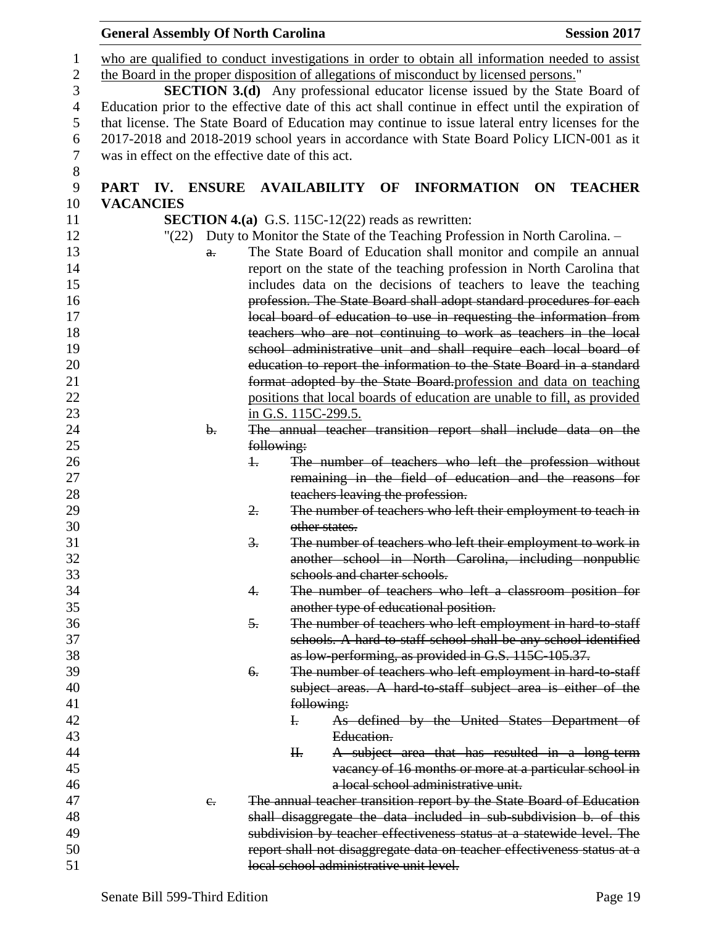|                | <b>General Assembly Of North Carolina</b>                                                          |                 |                                                                                     |                                     |                    |           | <b>Session 2017</b>                                    |
|----------------|----------------------------------------------------------------------------------------------------|-----------------|-------------------------------------------------------------------------------------|-------------------------------------|--------------------|-----------|--------------------------------------------------------|
| $\perp$        | who are qualified to conduct investigations in order to obtain all information needed to assist    |                 |                                                                                     |                                     |                    |           |                                                        |
| $\overline{2}$ | the Board in the proper disposition of allegations of misconduct by licensed persons."             |                 |                                                                                     |                                     |                    |           |                                                        |
| 3              |                                                                                                    |                 | <b>SECTION 3.(d)</b> Any professional educator license issued by the State Board of |                                     |                    |           |                                                        |
| $\overline{4}$ | Education prior to the effective date of this act shall continue in effect until the expiration of |                 |                                                                                     |                                     |                    |           |                                                        |
| 5              | that license. The State Board of Education may continue to issue lateral entry licenses for the    |                 |                                                                                     |                                     |                    |           |                                                        |
| 6              | 2017-2018 and 2018-2019 school years in accordance with State Board Policy LICN-001 as it          |                 |                                                                                     |                                     |                    |           |                                                        |
| $\tau$         | was in effect on the effective date of this act.                                                   |                 |                                                                                     |                                     |                    |           |                                                        |
| 8              |                                                                                                    |                 |                                                                                     |                                     |                    |           |                                                        |
| 9              | <b>IV. ENSURE</b><br><b>PART</b>                                                                   |                 | <b>AVAILABILITY</b>                                                                 | OF                                  | <b>INFORMATION</b> | <b>ON</b> | <b>TEACHER</b>                                         |
| 10             | <b>VACANCIES</b>                                                                                   |                 |                                                                                     |                                     |                    |           |                                                        |
| 11             |                                                                                                    |                 | <b>SECTION 4.(a)</b> G.S. 115C-12(22) reads as rewritten:                           |                                     |                    |           |                                                        |
| 12             | "(22)                                                                                              |                 | Duty to Monitor the State of the Teaching Profession in North Carolina. -           |                                     |                    |           |                                                        |
| 13             | $\theta$ .                                                                                         |                 | The State Board of Education shall monitor and compile an annual                    |                                     |                    |           |                                                        |
| 14             |                                                                                                    |                 | report on the state of the teaching profession in North Carolina that               |                                     |                    |           |                                                        |
| 15             |                                                                                                    |                 | includes data on the decisions of teachers to leave the teaching                    |                                     |                    |           |                                                        |
| 16             |                                                                                                    |                 | profession. The State Board shall adopt standard procedures for each                |                                     |                    |           |                                                        |
| 17             |                                                                                                    |                 | local board of education to use in requesting the information from                  |                                     |                    |           |                                                        |
| 18             |                                                                                                    |                 | teachers who are not continuing to work as teachers in the local                    |                                     |                    |           |                                                        |
| 19             |                                                                                                    |                 | school administrative unit and shall require each local board of                    |                                     |                    |           |                                                        |
| 20             |                                                                                                    |                 | education to report the information to the State Board in a standard                |                                     |                    |           |                                                        |
| 21             |                                                                                                    |                 | format adopted by the State Board profession and data on teaching                   |                                     |                    |           |                                                        |
| 22             |                                                                                                    |                 | positions that local boards of education are unable to fill, as provided            |                                     |                    |           |                                                        |
| 23             |                                                                                                    |                 | in G.S. 115C-299.5.                                                                 |                                     |                    |           |                                                        |
| 24             | $\mathbf{b}$ .                                                                                     |                 | The annual teacher transition report shall include data on the                      |                                     |                    |           |                                                        |
| 25             |                                                                                                    |                 | following:                                                                          |                                     |                    |           |                                                        |
| 26             |                                                                                                    | $\ddagger$      | The number of teachers who left the profession without                              |                                     |                    |           |                                                        |
| 27             |                                                                                                    |                 | remaining in the field of education and the reasons for                             |                                     |                    |           |                                                        |
| 28             |                                                                                                    |                 | teachers leaving the profession.                                                    |                                     |                    |           |                                                        |
| 29             |                                                                                                    | 2.              | The number of teachers who left their employment to teach in                        |                                     |                    |           |                                                        |
| 30             |                                                                                                    |                 | other states.                                                                       |                                     |                    |           |                                                        |
| 31             |                                                                                                    | $\frac{3}{2}$ . | The number of teachers who left their employment to work in                         |                                     |                    |           |                                                        |
| 32             |                                                                                                    |                 | another school in North Carolina, including nonpublie                               |                                     |                    |           |                                                        |
| 33             |                                                                                                    |                 | schools and charter schools.                                                        |                                     |                    |           |                                                        |
| 34             |                                                                                                    | 4.              | The number of teachers who left a classroom position for                            |                                     |                    |           |                                                        |
| 35             |                                                                                                    |                 | another type of educational position.                                               |                                     |                    |           |                                                        |
| 36             |                                                                                                    | 5.              | The number of teachers who left employment in hard to staff                         |                                     |                    |           |                                                        |
| 37             |                                                                                                    |                 | schools. A hard-to-staff school shall be any school identified                      |                                     |                    |           |                                                        |
| 38             |                                                                                                    |                 | as low-performing, as provided in G.S. 115C-105.37.                                 |                                     |                    |           |                                                        |
| 39             |                                                                                                    | 6.              | The number of teachers who left employment in hard-to-staff                         |                                     |                    |           |                                                        |
| 40             |                                                                                                    |                 | subject areas. A hard to staff subject area is either of the                        |                                     |                    |           |                                                        |
| 41             |                                                                                                    |                 | following:                                                                          |                                     |                    |           |                                                        |
| 42             |                                                                                                    |                 | $\mathbf{F}$                                                                        |                                     |                    |           | As defined by the United States Department of          |
| 43             |                                                                                                    |                 | Education.                                                                          |                                     |                    |           |                                                        |
| 44             |                                                                                                    |                 | H <sub>r</sub>                                                                      |                                     |                    |           | A subject area that has resulted in a long-term        |
| 45             |                                                                                                    |                 |                                                                                     |                                     |                    |           | vacancy of 16 months or more at a particular school in |
| 46             |                                                                                                    |                 |                                                                                     | a local school administrative unit. |                    |           |                                                        |
| 47             | $e_{i}$                                                                                            |                 | The annual teacher transition report by the State Board of Education                |                                     |                    |           |                                                        |
| 48             |                                                                                                    |                 | shall disaggregate the data included in sub-subdivision b. of this                  |                                     |                    |           |                                                        |
| 49             |                                                                                                    |                 | subdivision by teacher effectiveness status at a statewide level. The               |                                     |                    |           |                                                        |
| 50             |                                                                                                    |                 | report shall not disaggregate data on teacher effectiveness status at a             |                                     |                    |           |                                                        |
| 51             |                                                                                                    |                 | local school administrative unit level.                                             |                                     |                    |           |                                                        |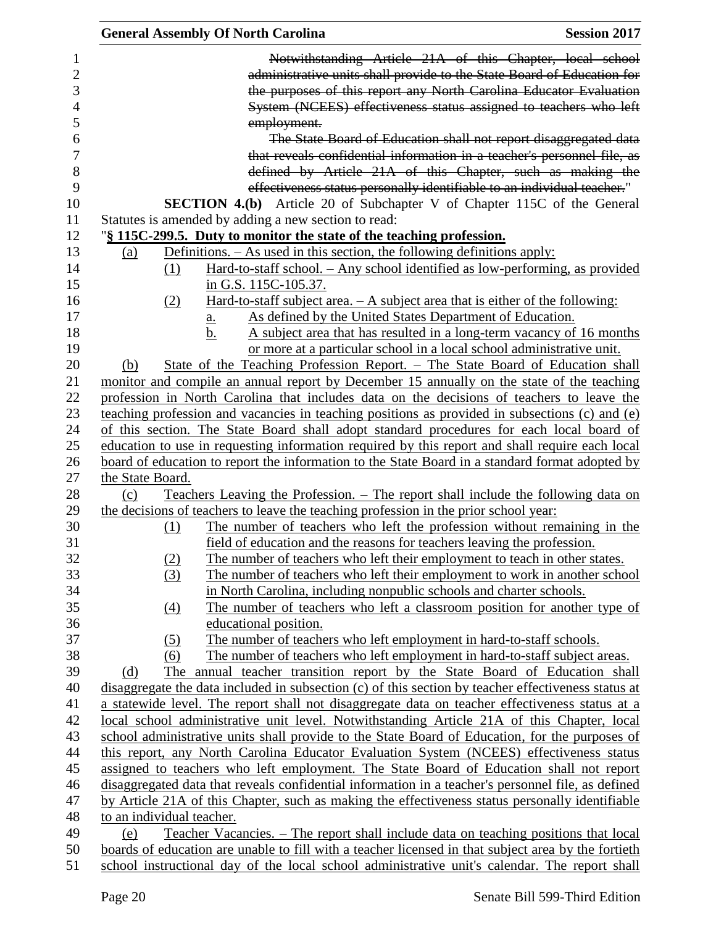| <b>General Assembly Of North Carolina</b><br><b>Session 2017</b>                                                                                                                                     |
|------------------------------------------------------------------------------------------------------------------------------------------------------------------------------------------------------|
| Notwithstanding Article 21A of this Chapter, local school                                                                                                                                            |
| administrative units shall provide to the State Board of Education for                                                                                                                               |
| the purposes of this report any North Carolina Educator Evaluation                                                                                                                                   |
| System (NCEES) effectiveness status assigned to teachers who left                                                                                                                                    |
| employment.                                                                                                                                                                                          |
| The State Board of Education shall not report disaggregated data                                                                                                                                     |
| that reveals confidential information in a teacher's personnel file, as                                                                                                                              |
| defined by Article 21A of this Chapter, such as making the                                                                                                                                           |
| effectiveness status personally identifiable to an individual teacher."                                                                                                                              |
|                                                                                                                                                                                                      |
| <b>SECTION 4.(b)</b> Article 20 of Subchapter V of Chapter 115C of the General                                                                                                                       |
| Statutes is amended by adding a new section to read:                                                                                                                                                 |
| "§ 115C-299.5. Duty to monitor the state of the teaching profession.                                                                                                                                 |
| Definitions. $-$ As used in this section, the following definitions apply:<br><u>(a)</u>                                                                                                             |
| Hard-to-staff school. - Any school identified as low-performing, as provided<br>(1)                                                                                                                  |
| in G.S. 115C-105.37.                                                                                                                                                                                 |
| <u>Hard-to-staff subject area. <math>- A</math> subject area that is either of the following:</u><br>(2)                                                                                             |
| As defined by the United States Department of Education.<br>$\underline{a}$ .                                                                                                                        |
| b.<br>A subject area that has resulted in a long-term vacancy of 16 months                                                                                                                           |
| or more at a particular school in a local school administrative unit.                                                                                                                                |
| State of the Teaching Profession Report. – The State Board of Education shall<br>(b)                                                                                                                 |
| monitor and compile an annual report by December 15 annually on the state of the teaching                                                                                                            |
| profession in North Carolina that includes data on the decisions of teachers to leave the                                                                                                            |
| teaching profession and vacancies in teaching positions as provided in subsections (c) and (e)                                                                                                       |
| of this section. The State Board shall adopt standard procedures for each local board of                                                                                                             |
| education to use in requesting information required by this report and shall require each local                                                                                                      |
| board of education to report the information to the State Board in a standard format adopted by                                                                                                      |
| the State Board.                                                                                                                                                                                     |
| <u>Teachers Leaving the Profession. – The report shall include the following data on</u><br>(c)                                                                                                      |
| the decisions of teachers to leave the teaching profession in the prior school year:                                                                                                                 |
| The number of teachers who left the profession without remaining in the<br>(1)<br>field of education and the reasons for teachers leaving the profession.                                            |
| The number of teachers who left their employment to teach in other states.                                                                                                                           |
| (2)                                                                                                                                                                                                  |
| The number of teachers who left their employment to work in another school<br>(3)<br>in North Carolina, including nonpublic schools and charter schools.                                             |
| The number of teachers who left a classroom position for another type of                                                                                                                             |
| $\underline{(4)}$<br>educational position.                                                                                                                                                           |
| The number of teachers who left employment in hard-to-staff schools.                                                                                                                                 |
| (5)<br>The number of teachers who left employment in hard-to-staff subject areas.<br>(6)                                                                                                             |
|                                                                                                                                                                                                      |
| annual teacher transition report by the State Board of Education shall<br>(d)<br>The                                                                                                                 |
| disaggregate the data included in subsection (c) of this section by teacher effectiveness status at                                                                                                  |
| a statewide level. The report shall not disaggregate data on teacher effectiveness status at a                                                                                                       |
| local school administrative unit level. Notwithstanding Article 21A of this Chapter, local                                                                                                           |
| school administrative units shall provide to the State Board of Education, for the purposes of                                                                                                       |
| this report, any North Carolina Educator Evaluation System (NCEES) effectiveness status                                                                                                              |
| assigned to teachers who left employment. The State Board of Education shall not report                                                                                                              |
| disaggregated data that reveals confidential information in a teacher's personnel file, as defined                                                                                                   |
| by Article 21A of this Chapter, such as making the effectiveness status personally identifiable                                                                                                      |
| to an individual teacher.                                                                                                                                                                            |
| Teacher Vacancies. – The report shall include data on teaching positions that local<br>(e)                                                                                                           |
| boards of education are unable to fill with a teacher licensed in that subject area by the fortieth<br>school instructional day of the local school administrative unit's calendar. The report shall |
|                                                                                                                                                                                                      |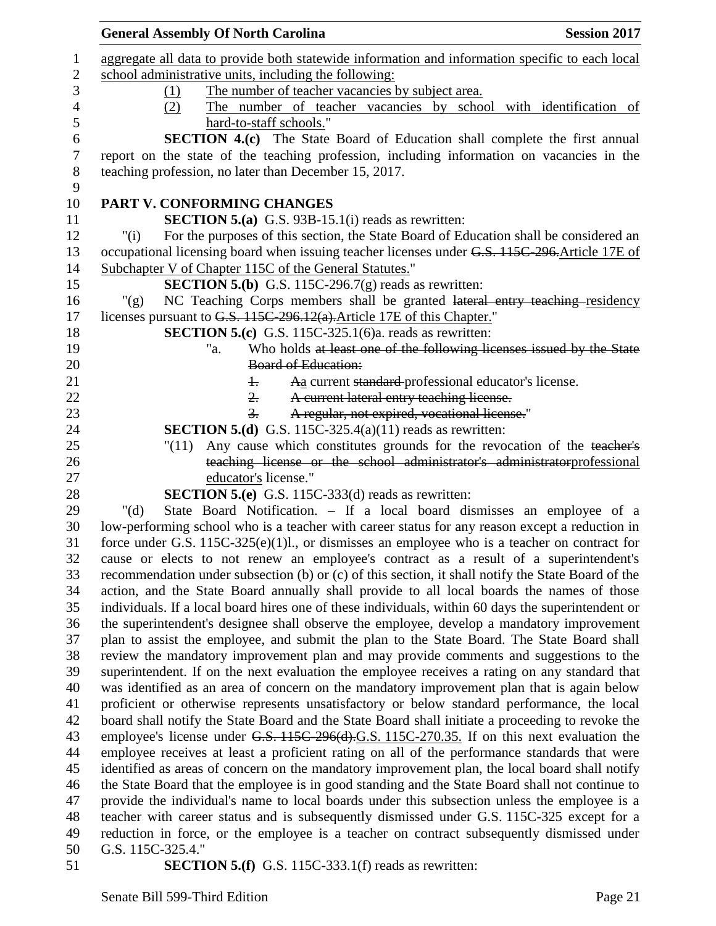|                | <b>General Assembly Of North Carolina</b><br><b>Session 2017</b>                                               |
|----------------|----------------------------------------------------------------------------------------------------------------|
| 1              | aggregate all data to provide both statewide information and information specific to each local                |
| $\sqrt{2}$     | school administrative units, including the following:                                                          |
| 3              | The number of teacher vacancies by subject area.<br>(1)                                                        |
| $\overline{4}$ | The number of teacher vacancies by school with identification of<br>(2)                                        |
| 5              | hard-to-staff schools."                                                                                        |
| 6              | <b>SECTION 4.(c)</b> The State Board of Education shall complete the first annual                              |
| $\tau$         | report on the state of the teaching profession, including information on vacancies in the                      |
| $8\,$          | teaching profession, no later than December 15, 2017.                                                          |
| 9              |                                                                                                                |
| 10             | PART V. CONFORMING CHANGES                                                                                     |
| 11             | <b>SECTION 5.(a)</b> G.S. 93B-15.1(i) reads as rewritten:                                                      |
| 12             | For the purposes of this section, the State Board of Education shall be considered an<br>" $(i)$               |
| 13             | occupational licensing board when issuing teacher licenses under G.S. 115C-296. Article 17E of                 |
| 14             | Subchapter V of Chapter 115C of the General Statutes."                                                         |
| 15             | <b>SECTION 5.(b)</b> G.S. 115C-296.7(g) reads as rewritten:                                                    |
| 16             | NC Teaching Corps members shall be granted lateral entry teaching residency<br>" $(g)$                         |
| 17             | licenses pursuant to G.S. 115C-296.12(a). Article 17E of this Chapter."                                        |
| 18             | <b>SECTION 5.(c)</b> G.S. 115C-325.1(6)a. reads as rewritten:                                                  |
| 19             | Who holds at least one of the following licenses issued by the State<br>"a.                                    |
| 20             | <b>Board of Education:</b>                                                                                     |
| 21             | Aa current standard-professional educator's license.<br>$\pm$                                                  |
| 22             | A current lateral entry teaching license.<br>2.                                                                |
| 23             | A regular, not expired, vocational license."<br>3.                                                             |
| 24             | <b>SECTION 5.(d)</b> G.S. 115C-325.4(a)(11) reads as rewritten:                                                |
| 25             | Any cause which constitutes grounds for the revocation of the teacher's<br>"(11)                               |
| 26             | teaching license or the school administrator's administratorprofessional                                       |
| 27             | educator's license."                                                                                           |
| 28             | <b>SECTION 5.(e)</b> G.S. 115C-333(d) reads as rewritten:                                                      |
| 29             | State Board Notification. - If a local board dismisses an employee of a<br>" $(d)$                             |
| 30             | low-performing school who is a teacher with career status for any reason except a reduction in                 |
| 31             | force under G.S. $115C-325(e)(1)l$ , or dismisses an employee who is a teacher on contract for                 |
| 32             | cause or elects to not renew an employee's contract as a result of a superintendent's                          |
| 33             | recommendation under subsection (b) or (c) of this section, it shall notify the State Board of the             |
| 34             | action, and the State Board annually shall provide to all local boards the names of those                      |
| 35             | individuals. If a local board hires one of these individuals, within 60 days the superintendent or             |
| 36             | the superintendent's designee shall observe the employee, develop a mandatory improvement                      |
| 37             | plan to assist the employee, and submit the plan to the State Board. The State Board shall                     |
| 38             | review the mandatory improvement plan and may provide comments and suggestions to the                          |
| 39             | superintendent. If on the next evaluation the employee receives a rating on any standard that                  |
| 40             | was identified as an area of concern on the mandatory improvement plan that is again below                     |
| 41             | proficient or otherwise represents unsatisfactory or below standard performance, the local                     |
| 42             | board shall notify the State Board and the State Board shall initiate a proceeding to revoke the               |
| 43             | employee's license under G.S. 115C-296(d).G.S. 115C-270.35. If on this next evaluation the                     |
| 44             | employee receives at least a proficient rating on all of the performance standards that were                   |
| 45             | identified as areas of concern on the mandatory improvement plan, the local board shall notify                 |
| 46             | the State Board that the employee is in good standing and the State Board shall not continue to                |
| 47             | provide the individual's name to local boards under this subsection unless the employee is a                   |
| 48             | teacher with career status and is subsequently dismissed under G.S. 115C-325 except for a                      |
| 49<br>50       | reduction in force, or the employee is a teacher on contract subsequently dismissed under<br>G.S. 115C-325.4." |
| 51             |                                                                                                                |
|                | <b>SECTION 5.(f)</b> G.S. 115C-333.1(f) reads as rewritten:                                                    |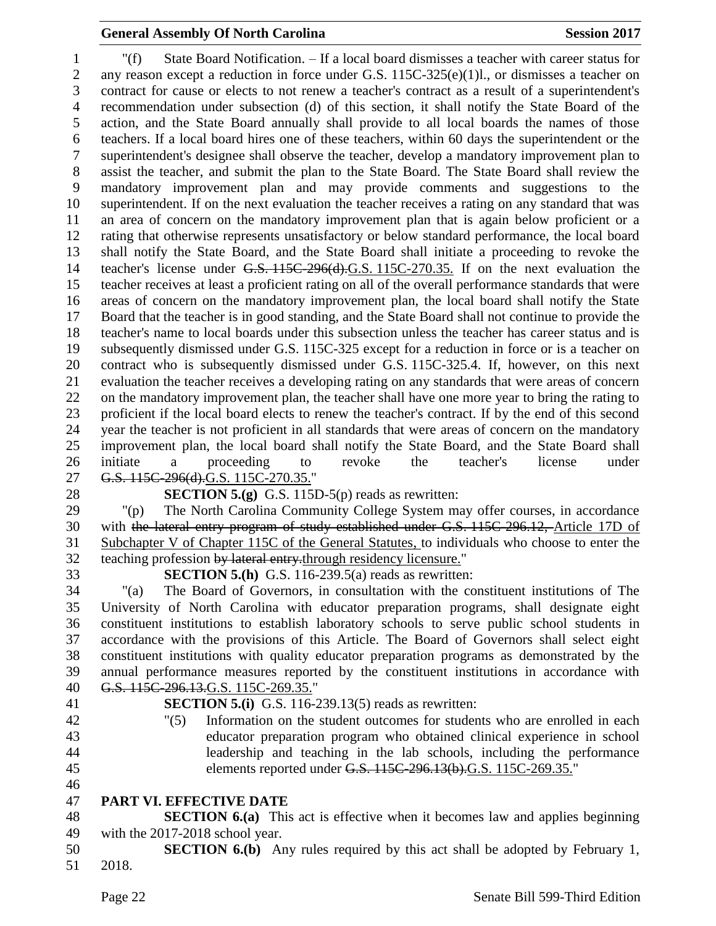### **General Assembly Of North Carolina Session 2017**

 "(f) State Board Notification. – If a local board dismisses a teacher with career status for 2 any reason except a reduction in force under G.S. 115C-325(e)(1)l., or dismisses a teacher on contract for cause or elects to not renew a teacher's contract as a result of a superintendent's recommendation under subsection (d) of this section, it shall notify the State Board of the action, and the State Board annually shall provide to all local boards the names of those teachers. If a local board hires one of these teachers, within 60 days the superintendent or the superintendent's designee shall observe the teacher, develop a mandatory improvement plan to assist the teacher, and submit the plan to the State Board. The State Board shall review the mandatory improvement plan and may provide comments and suggestions to the superintendent. If on the next evaluation the teacher receives a rating on any standard that was an area of concern on the mandatory improvement plan that is again below proficient or a rating that otherwise represents unsatisfactory or below standard performance, the local board shall notify the State Board, and the State Board shall initiate a proceeding to revoke the teacher's license under G.S. 115C-296(d).G.S. 115C-270.35. If on the next evaluation the teacher receives at least a proficient rating on all of the overall performance standards that were areas of concern on the mandatory improvement plan, the local board shall notify the State Board that the teacher is in good standing, and the State Board shall not continue to provide the teacher's name to local boards under this subsection unless the teacher has career status and is subsequently dismissed under G.S. 115C-325 except for a reduction in force or is a teacher on contract who is subsequently dismissed under G.S. 115C-325.4. If, however, on this next evaluation the teacher receives a developing rating on any standards that were areas of concern on the mandatory improvement plan, the teacher shall have one more year to bring the rating to proficient if the local board elects to renew the teacher's contract. If by the end of this second year the teacher is not proficient in all standards that were areas of concern on the mandatory improvement plan, the local board shall notify the State Board, and the State Board shall initiate a proceeding to revoke the teacher's license under 27 G.S. 115C-296(d).G.S. 115C-270.35."

- 
- 

**SECTION 5.(g)** G.S. 115D-5(p) reads as rewritten:

 "(p) The North Carolina Community College System may offer courses, in accordance with the lateral entry program of study established under G.S. 115C-296.12, Article 17D of Subchapter V of Chapter 115C of the General Statutes, to individuals who choose to enter the 32 teaching profession by lateral entry-through residency licensure."

**SECTION 5.(h)** G.S. 116-239.5(a) reads as rewritten:

 "(a) The Board of Governors, in consultation with the constituent institutions of The University of North Carolina with educator preparation programs, shall designate eight constituent institutions to establish laboratory schools to serve public school students in accordance with the provisions of this Article. The Board of Governors shall select eight constituent institutions with quality educator preparation programs as demonstrated by the annual performance measures reported by the constituent institutions in accordance with G.S. 115C-296.13.G.S. 115C-269.35."

- 
- 
- **SECTION 5.(i)** G.S. 116-239.13(5) reads as rewritten:
- "(5) Information on the student outcomes for students who are enrolled in each educator preparation program who obtained clinical experience in school leadership and teaching in the lab schools, including the performance elements reported under G.S. 115C-296.13(b).G.S. 115C-269.35."
- **PART VI. EFFECTIVE DATE**

 **SECTION 6.(a)** This act is effective when it becomes law and applies beginning with the 2017-2018 school year.

 **SECTION 6.(b)** Any rules required by this act shall be adopted by February 1, 2018.